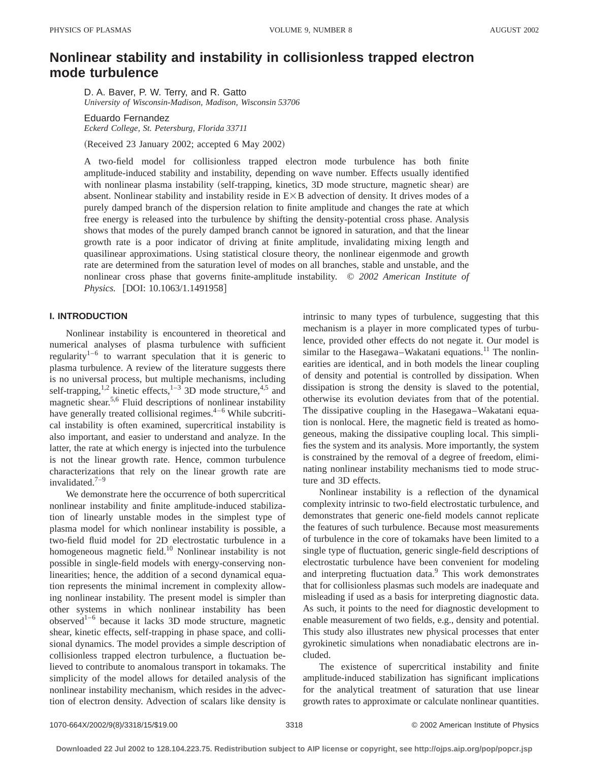# **Nonlinear stability and instability in collisionless trapped electron mode turbulence**

D. A. Baver, P. W. Terry, and R. Gatto *University of Wisconsin-Madison, Madison, Wisconsin 53706*

Eduardo Fernandez *Eckerd College, St. Petersburg, Florida 33711*

(Received 23 January 2002; accepted 6 May 2002)

A two-field model for collisionless trapped electron mode turbulence has both finite amplitude-induced stability and instability, depending on wave number. Effects usually identified with nonlinear plasma instability (self-trapping, kinetics, 3D mode structure, magnetic shear) are absent. Nonlinear stability and instability reside in  $E \times B$  advection of density. It drives modes of a purely damped branch of the dispersion relation to finite amplitude and changes the rate at which free energy is released into the turbulence by shifting the density-potential cross phase. Analysis shows that modes of the purely damped branch cannot be ignored in saturation, and that the linear growth rate is a poor indicator of driving at finite amplitude, invalidating mixing length and quasilinear approximations. Using statistical closure theory, the nonlinear eigenmode and growth rate are determined from the saturation level of modes on all branches, stable and unstable, and the nonlinear cross phase that governs finite-amplitude instability. © *2002 American Institute of Physics.* [DOI: 10.1063/1.1491958]

## **I. INTRODUCTION**

Nonlinear instability is encountered in theoretical and numerical analyses of plasma turbulence with sufficient regularity<sup>1-6</sup> to warrant speculation that it is generic to plasma turbulence. A review of the literature suggests there is no universal process, but multiple mechanisms, including self-trapping,<sup>1,2</sup> kinetic effects,<sup>1–3</sup> 3D mode structure,<sup>4,5</sup> and magnetic shear.<sup>5,6</sup> Fluid descriptions of nonlinear instability have generally treated collisional regimes. $4-6$  While subcritical instability is often examined, supercritical instability is also important, and easier to understand and analyze. In the latter, the rate at which energy is injected into the turbulence is not the linear growth rate. Hence, common turbulence characterizations that rely on the linear growth rate are invalidated.7–9

We demonstrate here the occurrence of both supercritical nonlinear instability and finite amplitude-induced stabilization of linearly unstable modes in the simplest type of plasma model for which nonlinear instability is possible, a two-field fluid model for 2D electrostatic turbulence in a homogeneous magnetic field.<sup>10</sup> Nonlinear instability is not possible in single-field models with energy-conserving nonlinearities; hence, the addition of a second dynamical equation represents the minimal increment in complexity allowing nonlinear instability. The present model is simpler than other systems in which nonlinear instability has been observed<sup>1–6</sup> because it lacks 3D mode structure, magnetic shear, kinetic effects, self-trapping in phase space, and collisional dynamics. The model provides a simple description of collisionless trapped electron turbulence, a fluctuation believed to contribute to anomalous transport in tokamaks. The simplicity of the model allows for detailed analysis of the nonlinear instability mechanism, which resides in the advection of electron density. Advection of scalars like density is

intrinsic to many types of turbulence, suggesting that this mechanism is a player in more complicated types of turbulence, provided other effects do not negate it. Our model is similar to the Hasegawa–Wakatani equations.<sup>11</sup> The nonlinearities are identical, and in both models the linear coupling of density and potential is controlled by dissipation. When dissipation is strong the density is slaved to the potential, otherwise its evolution deviates from that of the potential. The dissipative coupling in the Hasegawa–Wakatani equation is nonlocal. Here, the magnetic field is treated as homogeneous, making the dissipative coupling local. This simplifies the system and its analysis. More importantly, the system is constrained by the removal of a degree of freedom, eliminating nonlinear instability mechanisms tied to mode structure and 3D effects.

Nonlinear instability is a reflection of the dynamical complexity intrinsic to two-field electrostatic turbulence, and demonstrates that generic one-field models cannot replicate the features of such turbulence. Because most measurements of turbulence in the core of tokamaks have been limited to a single type of fluctuation, generic single-field descriptions of electrostatic turbulence have been convenient for modeling and interpreting fluctuation data.<sup>9</sup> This work demonstrates that for collisionless plasmas such models are inadequate and misleading if used as a basis for interpreting diagnostic data. As such, it points to the need for diagnostic development to enable measurement of two fields, e.g., density and potential. This study also illustrates new physical processes that enter gyrokinetic simulations when nonadiabatic electrons are included.

The existence of supercritical instability and finite amplitude-induced stabilization has significant implications for the analytical treatment of saturation that use linear growth rates to approximate or calculate nonlinear quantities.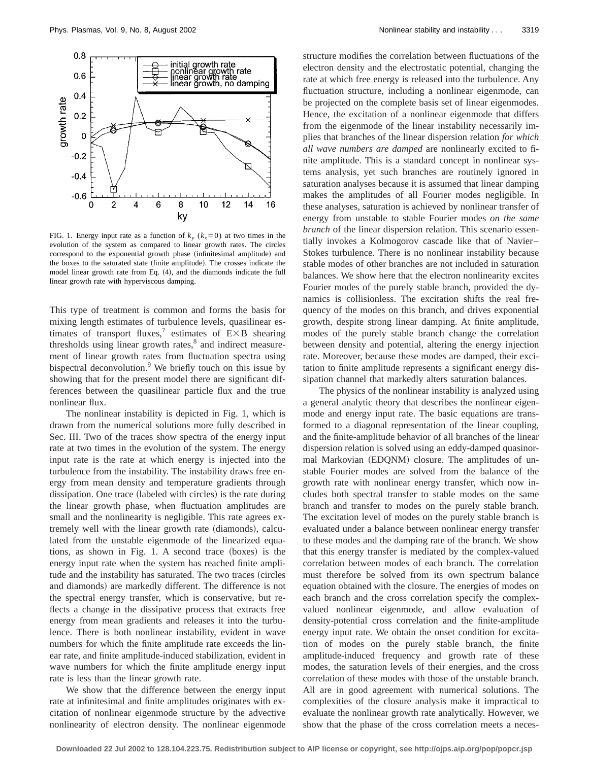

FIG. 1. Energy input rate as a function of  $k_y$  ( $k_x=0$ ) at two times in the evolution of the system as compared to linear growth rates. The circles correspond to the exponential growth phase (infinitesimal amplitude) and the boxes to the saturated state (finite amplitude). The crosses indicate the model linear growth rate from Eq. (4), and the diamonds indicate the full linear growth rate with hyperviscous damping.

This type of treatment is common and forms the basis for mixing length estimates of turbulence levels, quasilinear estimates of transport fluxes,<sup>7</sup> estimates of  $E \times B$  shearing thresholds using linear growth rates, $\delta$  and indirect measurement of linear growth rates from fluctuation spectra using bispectral deconvolution.<sup>9</sup> We briefly touch on this issue by showing that for the present model there are significant differences between the quasilinear particle flux and the true nonlinear flux.

The nonlinear instability is depicted in Fig. 1, which is drawn from the numerical solutions more fully described in Sec. III. Two of the traces show spectra of the energy input rate at two times in the evolution of the system. The energy input rate is the rate at which energy is injected into the turbulence from the instability. The instability draws free energy from mean density and temperature gradients through dissipation. One trace (labeled with circles) is the rate during the linear growth phase, when fluctuation amplitudes are small and the nonlinearity is negligible. This rate agrees extremely well with the linear growth rate (diamonds), calculated from the unstable eigenmode of the linearized equations, as shown in Fig. 1. A second trace  $(boxes)$  is the energy input rate when the system has reached finite amplitude and the instability has saturated. The two traces (circles and diamonds) are markedly different. The difference is not the spectral energy transfer, which is conservative, but reflects a change in the dissipative process that extracts free energy from mean gradients and releases it into the turbulence. There is both nonlinear instability, evident in wave numbers for which the finite amplitude rate exceeds the linear rate, and finite amplitude-induced stabilization, evident in wave numbers for which the finite amplitude energy input rate is less than the linear growth rate.

We show that the difference between the energy input rate at infinitesimal and finite amplitudes originates with excitation of nonlinear eigenmode structure by the advective nonlinearity of electron density. The nonlinear eigenmode structure modifies the correlation between fluctuations of the electron density and the electrostatic potential, changing the rate at which free energy is released into the turbulence. Any fluctuation structure, including a nonlinear eigenmode, can be projected on the complete basis set of linear eigenmodes. Hence, the excitation of a nonlinear eigenmode that differs from the eigenmode of the linear instability necessarily implies that branches of the linear dispersion relation *for which all wave numbers are damped* are nonlinearly excited to finite amplitude. This is a standard concept in nonlinear systems analysis, yet such branches are routinely ignored in saturation analyses because it is assumed that linear damping makes the amplitudes of all Fourier modes negligible. In these analyses, saturation is achieved by nonlinear transfer of energy from unstable to stable Fourier modes *on the same branch* of the linear dispersion relation. This scenario essentially invokes a Kolmogorov cascade like that of Navier– Stokes turbulence. There is no nonlinear instability because stable modes of other branches are not included in saturation balances. We show here that the electron nonlinearity excites Fourier modes of the purely stable branch, provided the dynamics is collisionless. The excitation shifts the real frequency of the modes on this branch, and drives exponential growth, despite strong linear damping. At finite amplitude, modes of the purely stable branch change the correlation between density and potential, altering the energy injection rate. Moreover, because these modes are damped, their excitation to finite amplitude represents a significant energy dissipation channel that markedly alters saturation balances.

The physics of the nonlinear instability is analyzed using a general analytic theory that describes the nonlinear eigenmode and energy input rate. The basic equations are transformed to a diagonal representation of the linear coupling, and the finite-amplitude behavior of all branches of the linear dispersion relation is solved using an eddy-damped quasinormal Markovian (EDQNM) closure. The amplitudes of unstable Fourier modes are solved from the balance of the growth rate with nonlinear energy transfer, which now includes both spectral transfer to stable modes on the same branch and transfer to modes on the purely stable branch. The excitation level of modes on the purely stable branch is evaluated under a balance between nonlinear energy transfer to these modes and the damping rate of the branch. We show that this energy transfer is mediated by the complex-valued correlation between modes of each branch. The correlation must therefore be solved from its own spectrum balance equation obtained with the closure. The energies of modes on each branch and the cross correlation specify the complexvalued nonlinear eigenmode, and allow evaluation of density-potential cross correlation and the finite-amplitude energy input rate. We obtain the onset condition for excitation of modes on the purely stable branch, the finite amplitude-induced frequency and growth rate of these modes, the saturation levels of their energies, and the cross correlation of these modes with those of the unstable branch. All are in good agreement with numerical solutions. The complexities of the closure analysis make it impractical to evaluate the nonlinear growth rate analytically. However, we show that the phase of the cross correlation meets a neces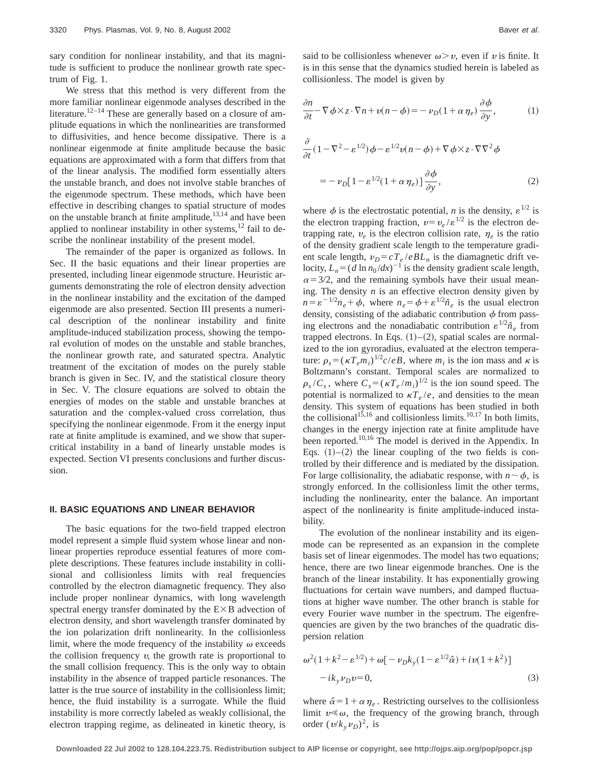sary condition for nonlinear instability, and that its magnitude is sufficient to produce the nonlinear growth rate spectrum of Fig. 1.

We stress that this method is very different from the more familiar nonlinear eigenmode analyses described in the literature.<sup>12–14</sup> These are generally based on a closure of amplitude equations in which the nonlinearities are transformed to diffusivities, and hence become dissipative. There is a nonlinear eigenmode at finite amplitude because the basic equations are approximated with a form that differs from that of the linear analysis. The modified form essentially alters the unstable branch, and does not involve stable branches of the eigenmode spectrum. These methods, which have been effective in describing changes to spatial structure of modes on the unstable branch at finite amplitude, $13,14$  and have been applied to nonlinear instability in other systems,  $^{12}$  fail to describe the nonlinear instability of the present model.

The remainder of the paper is organized as follows. In Sec. II the basic equations and their linear properties are presented, including linear eigenmode structure. Heuristic arguments demonstrating the role of electron density advection in the nonlinear instability and the excitation of the damped eigenmode are also presented. Section III presents a numerical description of the nonlinear instability and finite amplitude-induced stabilization process, showing the temporal evolution of modes on the unstable and stable branches, the nonlinear growth rate, and saturated spectra. Analytic treatment of the excitation of modes on the purely stable branch is given in Sec. IV, and the statistical closure theory in Sec. V. The closure equations are solved to obtain the energies of modes on the stable and unstable branches at saturation and the complex-valued cross correlation, thus specifying the nonlinear eigenmode. From it the energy input rate at finite amplitude is examined, and we show that supercritical instability in a band of linearly unstable modes is expected. Section VI presents conclusions and further discussion.

#### **II. BASIC EQUATIONS AND LINEAR BEHAVIOR**

The basic equations for the two-field trapped electron model represent a simple fluid system whose linear and nonlinear properties reproduce essential features of more complete descriptions. These features include instability in collisional and collisionless limits with real frequencies controlled by the electron diamagnetic frequency. They also include proper nonlinear dynamics, with long wavelength spectral energy transfer dominated by the  $E \times B$  advection of electron density, and short wavelength transfer dominated by the ion polarization drift nonlinearity. In the collisionless limit, where the mode frequency of the instability  $\omega$  exceeds the collision frequency  $v$ , the growth rate is proportional to the small collision frequency. This is the only way to obtain instability in the absence of trapped particle resonances. The latter is the true source of instability in the collisionless limit; hence, the fluid instability is a surrogate. While the fluid instability is more correctly labeled as weakly collisional, the electron trapping regime, as delineated in kinetic theory, is said to be collisionless whenever  $\omega > v$ , even if v is finite. It is in this sense that the dynamics studied herein is labeled as collisionless. The model is given by

$$
\frac{\partial n}{\partial t} - \nabla \phi \times z \cdot \nabla n + v(n - \phi) = -\nu_D (1 + \alpha \eta_e) \frac{\partial \phi}{\partial y},\tag{1}
$$

$$
\frac{\partial}{\partial t} (1 - \nabla^2 - \varepsilon^{1/2}) \phi - \varepsilon^{1/2} \nu (n - \phi) + \nabla \phi \times z \cdot \nabla \nabla^2 \phi
$$
  
= 
$$
- \nu_D [1 - \varepsilon^{1/2} (1 + \alpha \eta_e)] \frac{\partial \phi}{\partial y}, \qquad (2)
$$

where  $\phi$  is the electrostatic potential, *n* is the density,  $\varepsilon^{1/2}$  is the electron trapping fraction,  $v=v_e / \varepsilon^{1/2}$  is the electron detrapping rate,  $v_e$  is the electron collision rate,  $\eta_e$  is the ratio of the density gradient scale length to the temperature gradient scale length,  $v_D = cT_e/eBL_n$  is the diamagnetic drift velocity,  $L_n = (d \ln n_0 / dx)^{-1}$  is the density gradient scale length,  $\alpha$ =3/2, and the remaining symbols have their usual meaning. The density *n* is an effective electron density given by  $n = \varepsilon^{-1/2} n_e + \phi$ , where  $n_e = \phi + \varepsilon^{1/2} \hat{n}_e$  is the usual electron density, consisting of the adiabatic contribution  $\phi$  from passing electrons and the nonadiabatic contribution  $\varepsilon^{1/2} \hat{n}_{\rho}$  from trapped electrons. In Eqs.  $(1)$ – $(2)$ , spatial scales are normalized to the ion gyroradius, evaluated at the electron temperature:  $\rho_s = (\kappa T_e m_i)^{1/2} c / eB$ , where  $m_i$  is the ion mass and  $\kappa$  is Boltzmann's constant. Temporal scales are normalized to  $\rho_s/C_s$ , where  $C_s = (\kappa T_e / m_i)^{1/2}$  is the ion sound speed. The potential is normalized to  $\kappa T_e/e$ , and densities to the mean density. This system of equations has been studied in both the collisional<sup>15,16</sup> and collisionless limits.<sup>10,17</sup> In both limits, changes in the energy injection rate at finite amplitude have been reported.10,16 The model is derived in the Appendix. In Eqs.  $(1)$ – $(2)$  the linear coupling of the two fields is controlled by their difference and is mediated by the dissipation. For large collisionality, the adiabatic response, with  $n \sim \phi$ , is strongly enforced. In the collisionless limit the other terms, including the nonlinearity, enter the balance. An important aspect of the nonlinearity is finite amplitude-induced instability.

The evolution of the nonlinear instability and its eigenmode can be represented as an expansion in the complete basis set of linear eigenmodes. The model has two equations; hence, there are two linear eigenmode branches. One is the branch of the linear instability. It has exponentially growing fluctuations for certain wave numbers, and damped fluctuations at higher wave number. The other branch is stable for every Fourier wave number in the spectrum. The eigenfrequencies are given by the two branches of the quadratic dispersion relation

$$
\omega^{2}(1+k^{2}-\varepsilon^{1/2}) + \omega[-\nu_{D}k_{y}(1-\varepsilon^{1/2}\hat{\alpha}) + i\nu(1+k^{2})] -ik_{y}\nu_{D}\nu=0,
$$
\n(3)

where  $\hat{\alpha} = 1 + \alpha \eta_e$ . Restricting ourselves to the collisionless limit  $v \ll \omega$ , the frequency of the growing branch, through order  $(v/k_v \nu_D)^2$ , is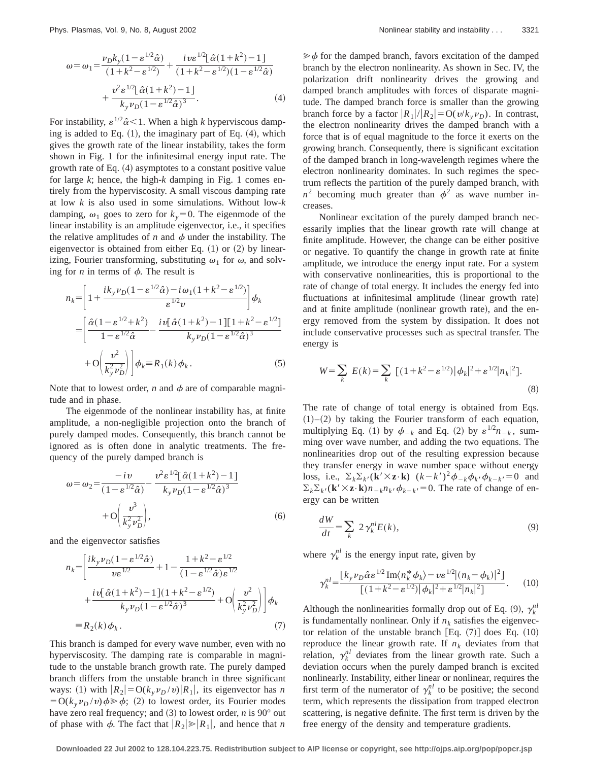$$
\omega = \omega_1 = \frac{\nu_D k_y (1 - \varepsilon^{1/2} \hat{\alpha})}{(1 + k^2 - \varepsilon^{1/2})} + \frac{i \nu \varepsilon^{1/2} [\hat{\alpha} (1 + k^2) - 1]}{(1 + k^2 - \varepsilon^{1/2}) (1 - \varepsilon^{1/2} \hat{\alpha})} + \frac{\nu^2 \varepsilon^{1/2} [\hat{\alpha} (1 + k^2) - 1]}{k_y \nu_D (1 - \varepsilon^{1/2} \hat{\alpha})^3}.
$$
 (4)

For instability,  $\varepsilon^{1/2} \hat{\alpha} < 1$ . When a high *k* hyperviscous damping is added to Eq.  $(1)$ , the imaginary part of Eq.  $(4)$ , which gives the growth rate of the linear instability, takes the form shown in Fig. 1 for the infinitesimal energy input rate. The growth rate of Eq.  $(4)$  asymptotes to a constant positive value for large *k*; hence, the high-*k* damping in Fig. 1 comes entirely from the hyperviscosity. A small viscous damping rate at low *k* is also used in some simulations. Without low-*k* damping,  $\omega_1$  goes to zero for  $k_y=0$ . The eigenmode of the linear instability is an amplitude eigenvector, i.e., it specifies the relative amplitudes of  $n$  and  $\phi$  under the instability. The eigenvector is obtained from either Eq.  $(1)$  or  $(2)$  by linearizing, Fourier transforming, substituting  $\omega_1$  for  $\omega$ , and solving for *n* in terms of  $\phi$ . The result is

$$
n_{k} = \left[ 1 + \frac{ik_{y}\nu_{D}(1-\varepsilon^{1/2}\hat{\alpha}) - i\omega_{1}(1+k^{2}-\varepsilon^{1/2})}{\varepsilon^{1/2}\nu} \right] \phi_{k}
$$
  
= 
$$
\left[ \frac{\hat{\alpha}(1-\varepsilon^{1/2}+k^{2})}{1-\varepsilon^{1/2}\hat{\alpha}} - \frac{i\nu[\hat{\alpha}(1+k^{2}) - 1][1+k^{2}-\varepsilon^{1/2}]}{k_{y}\nu_{D}(1-\varepsilon^{1/2}\hat{\alpha})^{3}} + O\left(\frac{\nu^{2}}{k_{y}^{2}\nu_{D}^{2}}\right) \right] \phi_{k} = R_{1}(k)\phi_{k}. \tag{5}
$$

Note that to lowest order, *n* and  $\phi$  are of comparable magnitude and in phase.

The eigenmode of the nonlinear instability has, at finite amplitude, a non-negligible projection onto the branch of purely damped modes. Consequently, this branch cannot be ignored as is often done in analytic treatments. The frequency of the purely damped branch is

$$
\omega = \omega_2 = \frac{-iv}{(1 - \varepsilon^{1/2} \hat{\alpha})} - \frac{v^2 \varepsilon^{1/2} [\hat{\alpha} (1 + k^2) - 1]}{k_y \nu_D (1 - \varepsilon^{1/2} \hat{\alpha})^3} + O\left(\frac{v^3}{k_y^2 \nu_D^2}\right),
$$
\n(6)

and the eigenvector satisfies

$$
n_{k} = \left[ \frac{ik_{y} \nu_{D} (1 - \varepsilon^{1/2} \hat{\alpha})}{\nu \varepsilon^{1/2}} + 1 - \frac{1 + k^{2} - \varepsilon^{1/2}}{(1 - \varepsilon^{1/2} \hat{\alpha}) \varepsilon^{1/2}} + \frac{i \nu [\hat{\alpha} (1 + k^{2}) - 1](1 + k^{2} - \varepsilon^{1/2})}{k_{y} \nu_{D} (1 - \varepsilon^{1/2} \hat{\alpha})^{3}} + O\left(\frac{\nu^{2}}{k_{y}^{2} \nu_{D}^{2}}\right) \right] \phi_{k}
$$
  
=  $R_{2}(k) \phi_{k}$ . (7)

This branch is damped for every wave number, even with no hyperviscosity. The damping rate is comparable in magnitude to the unstable branch growth rate. The purely damped branch differs from the unstable branch in three significant ways: (1) with  $|R_2| = O(k_v \nu_D / v) |R_1|$ , its eigenvector has *n*  $=O(k_v\nu_D/\nu)\phi\gg\phi$ ; (2) to lowest order, its Fourier modes have zero real frequency; and  $(3)$  to lowest order, *n* is 90 $^{\circ}$  out of phase with  $\phi$ . The fact that  $|R_2|\gg|R_1|$ , and hence that *n* 

 $\gg \phi$  for the damped branch, favors excitation of the damped branch by the electron nonlinearity. As shown in Sec. IV, the polarization drift nonlinearity drives the growing and damped branch amplitudes with forces of disparate magnitude. The damped branch force is smaller than the growing branch force by a factor  $|R_1|/|R_2| = O(v/k_v \nu_D)$ . In contrast, the electron nonlinearity drives the damped branch with a force that is of equal magnitude to the force it exerts on the growing branch. Consequently, there is significant excitation of the damped branch in long-wavelength regimes where the electron nonlinearity dominates. In such regimes the spectrum reflects the partition of the purely damped branch, with  $n^2$  becoming much greater than  $\phi^2$  as wave number increases.

Nonlinear excitation of the purely damped branch necessarily implies that the linear growth rate will change at finite amplitude. However, the change can be either positive or negative. To quantify the change in growth rate at finite amplitude, we introduce the energy input rate. For a system with conservative nonlinearities, this is proportional to the rate of change of total energy. It includes the energy fed into fluctuations at infinitesimal amplitude (linear growth rate) and at finite amplitude (nonlinear growth rate), and the energy removed from the system by dissipation. It does not include conservative processes such as spectral transfer. The energy is

$$
W = \sum_{k} E(k) = \sum_{k} \left[ (1 + k^2 - \varepsilon^{1/2}) |\phi_k|^2 + \varepsilon^{1/2} |n_k|^2 \right].
$$
\n(8)

The rate of change of total energy is obtained from Eqs.  $(1)$ – $(2)$  by taking the Fourier transform of each equation, multiplying Eq. (1) by  $\phi_{-k}$  and Eq. (2) by  $\varepsilon^{1/2}n_{-k}$ , summing over wave number, and adding the two equations. The nonlinearities drop out of the resulting expression because they transfer energy in wave number space without energy loss, i.e.,  $\Sigma_k \Sigma_{k'}(\mathbf{k'} \times \mathbf{z} \cdot \mathbf{k})$   $(k-k')^2 \phi_{-k} \phi_{k'} \phi_{k-k'} = 0$  and  $\sum_k \sum_{k'} (\mathbf{k'} \times \mathbf{z} \cdot \mathbf{k}) n_{-k} n_{k'} \phi_{k-k'} = 0$ . The rate of change of energy can be written

$$
\frac{dW}{dt} = \sum_{k} 2 \gamma_k^{nl} E(k),\tag{9}
$$

where  $\gamma_k^{nl}$  is the energy input rate, given by

$$
\gamma_k^{nl} = \frac{\left[k_y \nu_D \hat{\alpha} \varepsilon^{1/2} \text{Im}\langle n_k^* \phi_k \rangle - \nu \varepsilon^{1/2} |(n_k - \phi_k)|^2\right]}{\left[(1 + k^2 - \varepsilon^{1/2}) |\phi_k|^2 + \varepsilon^{1/2} |n_k|^2\right]}.
$$
 (10)

Although the nonlinearities formally drop out of Eq. (9),  $\gamma_k^{nl}$ is fundamentally nonlinear. Only if  $n_k$  satisfies the eigenvector relation of the unstable branch [Eq.  $(7)$ ] does Eq.  $(10)$ reproduce the linear growth rate. If  $n_k$  deviates from that relation,  $\gamma_k^{nl}$  deviates from the linear growth rate. Such a deviation occurs when the purely damped branch is excited nonlinearly. Instability, either linear or nonlinear, requires the first term of the numerator of  $\gamma_k^{nl}$  to be positive; the second term, which represents the dissipation from trapped electron scattering, is negative definite. The first term is driven by the free energy of the density and temperature gradients.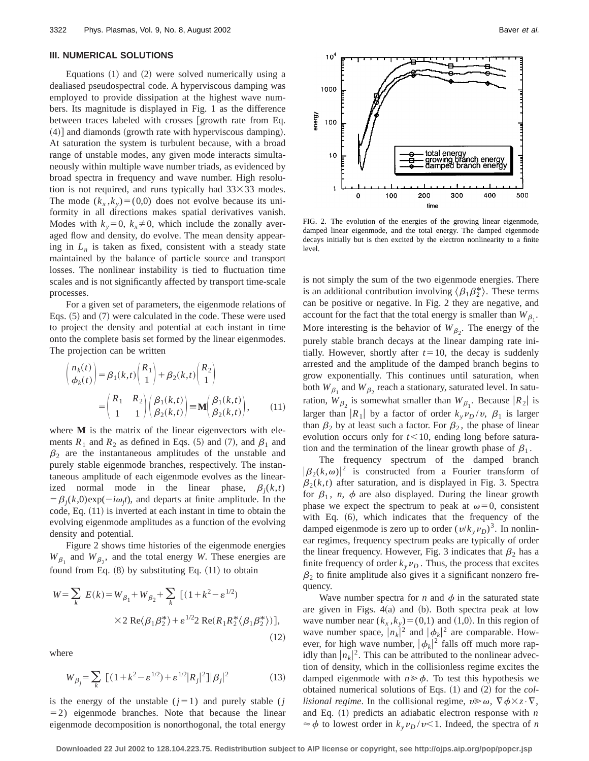#### **III. NUMERICAL SOLUTIONS**

Equations  $(1)$  and  $(2)$  were solved numerically using a dealiased pseudospectral code. A hyperviscous damping was employed to provide dissipation at the highest wave numbers. Its magnitude is displayed in Fig. 1 as the difference between traces labeled with crosses [growth rate from Eq.  $(4)$ ] and diamonds (growth rate with hyperviscous damping). At saturation the system is turbulent because, with a broad range of unstable modes, any given mode interacts simultaneously within multiple wave number triads, as evidenced by broad spectra in frequency and wave number. High resolution is not required, and runs typically had  $33 \times 33$  modes. The mode  $(k_x, k_y) = (0,0)$  does not evolve because its uniformity in all directions makes spatial derivatives vanish. Modes with  $k_y=0$ ,  $k_x\neq0$ , which include the zonally averaged flow and density, do evolve. The mean density appearing in  $L_n$  is taken as fixed, consistent with a steady state maintained by the balance of particle source and transport losses. The nonlinear instability is tied to fluctuation time scales and is not significantly affected by transport time-scale processes.

For a given set of parameters, the eigenmode relations of Eqs.  $(5)$  and  $(7)$  were calculated in the code. These were used to project the density and potential at each instant in time onto the complete basis set formed by the linear eigenmodes. The projection can be written

$$
\begin{aligned}\n\binom{n_k(t)}{\phi_k(t)} &= \beta_1(k,t) \binom{R_1}{1} + \beta_2(k,t) \binom{R_2}{1} \\
&= \binom{R_1 \quad R_2}{1} \binom{\beta_1(k,t)}{\beta_2(k,t)} = \mathbf{M} \binom{\beta_1(k,t)}{\beta_2(k,t)},\n\end{aligned} \tag{11}
$$

where **M** is the matrix of the linear eigenvectors with elements  $R_1$  and  $R_2$  as defined in Eqs. (5) and (7), and  $\beta_1$  and  $\beta_2$  are the instantaneous amplitudes of the unstable and purely stable eigenmode branches, respectively. The instantaneous amplitude of each eigenmode evolves as the linearized normal mode in the linear phase,  $\beta_i(k,t)$  $= \beta_j(k,0) \exp(-i\omega_j t)$ , and departs at finite amplitude. In the code, Eq.  $(11)$  is inverted at each instant in time to obtain the evolving eigenmode amplitudes as a function of the evolving density and potential.

Figure 2 shows time histories of the eigenmode energies  $W_{\beta_1}$  and  $W_{\beta_2}$ , and the total energy *W*. These energies are found from Eq.  $(8)$  by substituting Eq.  $(11)$  to obtain

$$
W = \sum_{k} E(k) = W_{\beta_1} + W_{\beta_2} + \sum_{k} [(1 + k^2 - \varepsilon^{1/2})
$$
  
×2 Re $\langle \beta_1 \beta_2^* \rangle + \varepsilon^{1/2}$  Re $(R_1 R_2^* \langle \beta_1 \beta_2^* \rangle)$ ], (12)

where

$$
W_{\beta_j} = \sum_k \left[ (1 + k^2 - \varepsilon^{1/2}) + \varepsilon^{1/2} |R_j|^2 \right] |\beta_j|^2 \tag{13}
$$

is the energy of the unstable  $(j=1)$  and purely stable  $(j$  $=$  2) eigenmode branches. Note that because the linear eigenmode decomposition is nonorthogonal, the total energy



FIG. 2. The evolution of the energies of the growing linear eigenmode, damped linear eigenmode, and the total energy. The damped eigenmode decays initially but is then excited by the electron nonlinearity to a finite level.

is not simply the sum of the two eigenmode energies. There is an additional contribution involving  $\langle \beta_1 \beta_2^* \rangle$ . These terms can be positive or negative. In Fig. 2 they are negative, and account for the fact that the total energy is smaller than  $W_{\beta_1}$ . More interesting is the behavior of  $W_{\beta_2}$ . The energy of the purely stable branch decays at the linear damping rate initially. However, shortly after  $t=10$ , the decay is suddenly arrested and the amplitude of the damped branch begins to grow exponentially. This continues until saturation, when both  $W_{\beta_1}$  and  $W_{\beta_2}$  reach a stationary, saturated level. In saturation,  $W_{\beta_2}$  is somewhat smaller than  $W_{\beta_1}$ . Because  $|R_2|$  is larger than  $|R_1|$  by a factor of order  $k_v \nu_D / v$ ,  $\beta_1$  is larger than  $\beta_2$  by at least such a factor. For  $\beta_2$ , the phase of linear evolution occurs only for  $t < 10$ , ending long before saturation and the termination of the linear growth phase of  $\beta_1$ .

The frequency spectrum of the damped branch  $|\beta_2(k,\omega)|^2$  is constructed from a Fourier transform of  $\beta_2(k,t)$  after saturation, and is displayed in Fig. 3. Spectra for  $\beta_1$ , *n*,  $\phi$  are also displayed. During the linear growth phase we expect the spectrum to peak at  $\omega=0$ , consistent with Eq.  $(6)$ , which indicates that the frequency of the damped eigenmode is zero up to order  $(v/k_v \nu_D)^3$ . In nonlinear regimes, frequency spectrum peaks are typically of order the linear frequency. However, Fig. 3 indicates that  $\beta_2$  has a finite frequency of order  $k_yv_D$ . Thus, the process that excites  $\beta_2$  to finite amplitude also gives it a significant nonzero frequency.

Wave number spectra for *n* and  $\phi$  in the saturated state are given in Figs.  $4(a)$  and (b). Both spectra peak at low wave number near  $(k_x, k_y) = (0,1)$  and  $(1,0)$ . In this region of wave number space,  $|n_k|^2$  and  $|\phi_k|^2$  are comparable. However, for high wave number,  $|\phi_k|^2$  falls off much more rapidly than  $|n_k|^2$ . This can be attributed to the nonlinear advection of density, which in the collisionless regime excites the damped eigenmode with  $n \ge \phi$ . To test this hypothesis we obtained numerical solutions of Eqs. (1) and (2) for the *collisional regime*. In the collisional regime,  $v \gg \omega$ ,  $\nabla \phi \times z \cdot \nabla$ , and Eq.  $(1)$  predicts an adiabatic electron response with *n*  $\approx \phi$  to lowest order in  $k_v \nu_p / v \leq 1$ . Indeed, the spectra of *n*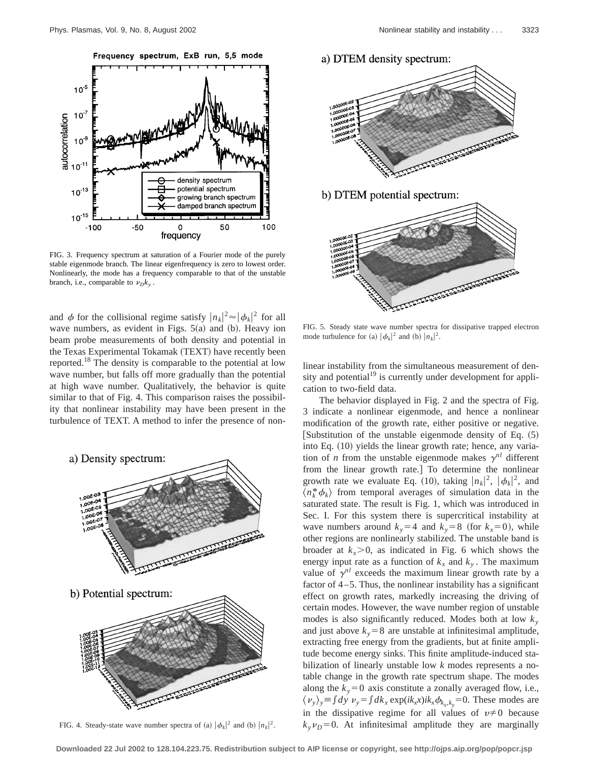

FIG. 3. Frequency spectrum at saturation of a Fourier mode of the purely stable eigenmode branch. The linear eigenfrequency is zero to lowest order. Nonlinearly, the mode has a frequency comparable to that of the unstable branch, i.e., comparable to  $\nu_D k_y$ .

and  $\phi$  for the collisional regime satisfy  $|n_k|^2 \approx |\phi_k|^2$  for all wave numbers, as evident in Figs.  $5(a)$  and  $(b)$ . Heavy ion beam probe measurements of both density and potential in the Texas Experimental Tokamak (TEXT) have recently been reported.<sup>18</sup> The density is comparable to the potential at low wave number, but falls off more gradually than the potential at high wave number. Qualitatively, the behavior is quite similar to that of Fig. 4. This comparison raises the possibility that nonlinear instability may have been present in the turbulence of TEXT. A method to infer the presence of non-



FIG. 4. Steady-state wave number spectra of (a)  $|\phi_k|^2$  and (b)  $|n_k|^2$ .



FIG. 5. Steady state wave number spectra for dissipative trapped electron mode turbulence for (a)  $|\phi_k|^2$  and (b)  $|n_k|^2$ .

linear instability from the simultaneous measurement of density and potential<sup>19</sup> is currently under development for application to two-field data.

The behavior displayed in Fig. 2 and the spectra of Fig. 3 indicate a nonlinear eigenmode, and hence a nonlinear modification of the growth rate, either positive or negative. [Substitution of the unstable eigenmode density of Eq.  $(5)$ ] into Eq.  $(10)$  yields the linear growth rate; hence, any variation of *n* from the unstable eigenmode makes  $\gamma^{nl}$  different from the linear growth rate.] To determine the nonlinear growth rate we evaluate Eq. (10), taking  $|n_k|^2$ ,  $|\phi_k|^2$ , and  $\langle n_k^* \phi_k \rangle$  from temporal averages of simulation data in the saturated state. The result is Fig. 1, which was introduced in Sec. I. For this system there is supercritical instability at wave numbers around  $k_y=4$  and  $k_y=8$  (for  $k_x=0$ ), while other regions are nonlinearly stabilized. The unstable band is broader at  $k_x > 0$ , as indicated in Fig. 6 which shows the energy input rate as a function of  $k_x$  and  $k_y$ . The maximum value of  $\gamma^{nl}$  exceeds the maximum linear growth rate by a factor of 4–5. Thus, the nonlinear instability has a significant effect on growth rates, markedly increasing the driving of certain modes. However, the wave number region of unstable modes is also significantly reduced. Modes both at low  $k_y$ and just above  $k_y = 8$  are unstable at infinitesimal amplitude, extracting free energy from the gradients, but at finite amplitude become energy sinks. This finite amplitude-induced stabilization of linearly unstable low *k* modes represents a notable change in the growth rate spectrum shape. The modes along the  $k_y=0$  axis constitute a zonally averaged flow, i.e.,  $\langle v_y \rangle_y \equiv \int dy \ v_y = \int dk_x \exp(ik_x x)ik_x \phi_{k_x, k_y} = 0$ . These modes are in the dissipative regime for all values of  $v \neq 0$  because  $k_y \nu_D = 0$ . At infinitesimal amplitude they are marginally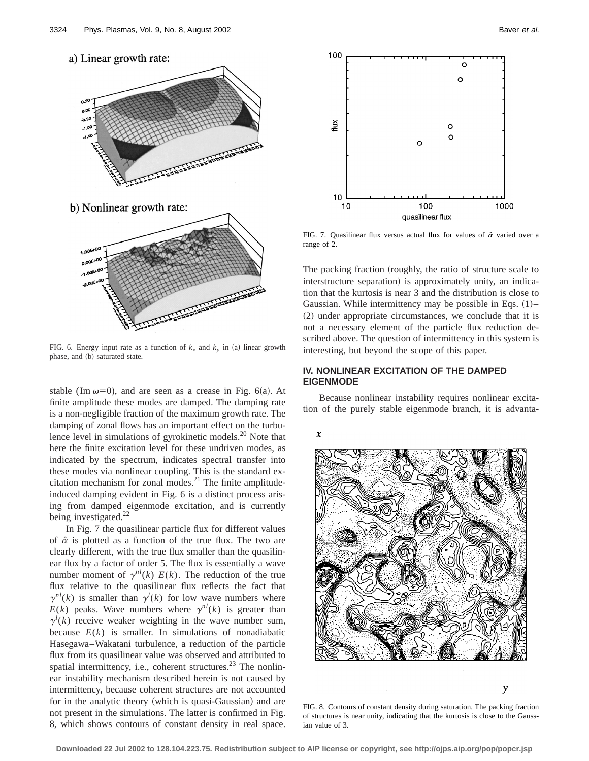

FIG. 6. Energy input rate as a function of  $k_x$  and  $k_y$  in (a) linear growth phase, and (b) saturated state.

stable (Im  $\omega=0$ ), and are seen as a crease in Fig. 6(a). At finite amplitude these modes are damped. The damping rate is a non-negligible fraction of the maximum growth rate. The damping of zonal flows has an important effect on the turbulence level in simulations of gyrokinetic models.<sup>20</sup> Note that here the finite excitation level for these undriven modes, as indicated by the spectrum, indicates spectral transfer into these modes via nonlinear coupling. This is the standard excitation mechanism for zonal modes. $^{21}$  The finite amplitudeinduced damping evident in Fig. 6 is a distinct process arising from damped eigenmode excitation, and is currently being investigated.<sup>22</sup>

In Fig. 7 the quasilinear particle flux for different values of  $\hat{\alpha}$  is plotted as a function of the true flux. The two are clearly different, with the true flux smaller than the quasilinear flux by a factor of order 5. The flux is essentially a wave number moment of  $\gamma^{nl}(k)$   $E(k)$ . The reduction of the true flux relative to the quasilinear flux reflects the fact that  $\gamma^{nl}(k)$  is smaller than  $\gamma^{l}(k)$  for low wave numbers where  $E(k)$  peaks. Wave numbers where  $\gamma^{nl}(k)$  is greater than  $\gamma^{l}(k)$  receive weaker weighting in the wave number sum, because  $E(k)$  is smaller. In simulations of nonadiabatic Hasegawa–Wakatani turbulence, a reduction of the particle flux from its quasilinear value was observed and attributed to spatial intermittency, i.e., coherent structures.<sup>23</sup> The nonlinear instability mechanism described herein is not caused by intermittency, because coherent structures are not accounted for in the analytic theory (which is quasi-Gaussian) and are not present in the simulations. The latter is confirmed in Fig. 8, which shows contours of constant density in real space.



FIG. 7. Quasilinear flux versus actual flux for values of  $\hat{\alpha}$  varied over a range of 2.

The packing fraction (roughly, the ratio of structure scale to interstructure separation) is approximately unity, an indication that the kurtosis is near 3 and the distribution is close to Gaussian. While intermittency may be possible in Eqs.  $(1)$ –  $(2)$  under appropriate circumstances, we conclude that it is not a necessary element of the particle flux reduction described above. The question of intermittency in this system is interesting, but beyond the scope of this paper.

## **IV. NONLINEAR EXCITATION OF THE DAMPED EIGENMODE**

Because nonlinear instability requires nonlinear excitation of the purely stable eigenmode branch, it is advanta-

# $\boldsymbol{\chi}$



FIG. 8. Contours of constant density during saturation. The packing fraction of structures is near unity, indicating that the kurtosis is close to the Gaussian value of 3.

 $\mathbf{y}$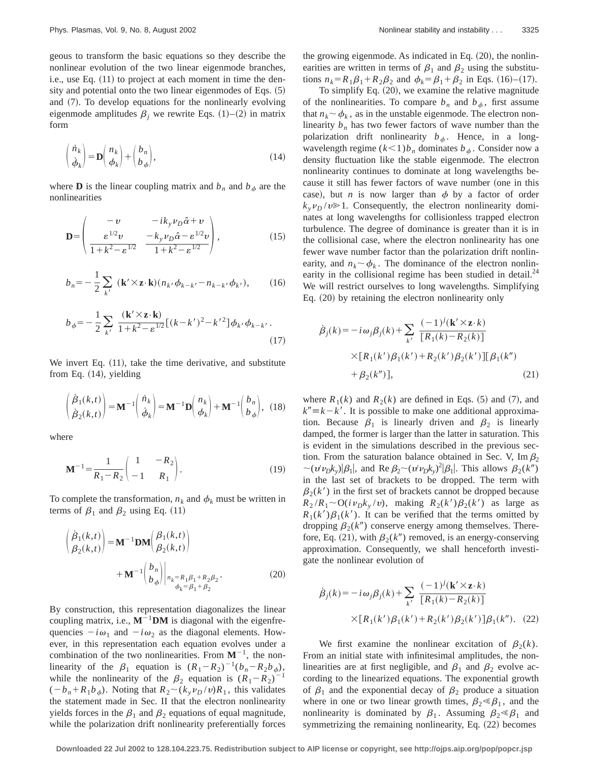geous to transform the basic equations so they describe the nonlinear evolution of the two linear eigenmode branches, i.e., use Eq.  $(11)$  to project at each moment in time the density and potential onto the two linear eigenmodes of Eqs.  $(5)$ and  $(7)$ . To develop equations for the nonlinearly evolving eigenmode amplitudes  $\beta_i$  we rewrite Eqs. (1)–(2) in matrix form

$$
\begin{pmatrix} \vec{n}_k \\ \dot{\phi}_k \end{pmatrix} = \mathbf{D} \begin{pmatrix} n_k \\ \phi_k \end{pmatrix} + \begin{pmatrix} b_n \\ b_\phi \end{pmatrix},\tag{14}
$$

where **D** is the linear coupling matrix and  $b_n$  and  $b_{\phi}$  are the nonlinearities

$$
\mathbf{D} = \begin{pmatrix} -v & -ik_y v_D \hat{\alpha} + v \\ \frac{\varepsilon^{1/2} v}{1 + k^2 - \varepsilon^{1/2}} & \frac{-k_y v_D \hat{\alpha} - \varepsilon^{1/2} v}{1 + k^2 - \varepsilon^{1/2}} \end{pmatrix},
$$
(15)

$$
b_n = -\frac{1}{2} \sum_{k'} (\mathbf{k'} \times \mathbf{z} \cdot \mathbf{k}) (n_{k'} \phi_{k-k'} - n_{k-k'} \phi_{k'}), \qquad (16)
$$

$$
b_{\phi} = -\frac{1}{2} \sum_{k'} \frac{(\mathbf{k'} \times \mathbf{z} \cdot \mathbf{k})}{1 + k^2 - \varepsilon^{1/2}} [(k - k')^2 - k'^2] \phi_{k'} \phi_{k - k'}.
$$
\n(17)

We invert Eq.  $(11)$ , take the time derivative, and substitute from Eq.  $(14)$ , yielding

$$
\begin{pmatrix} \dot{\beta}_1(k,t) \\ \dot{\beta}_2(k,t) \end{pmatrix} = \mathbf{M}^{-1} \begin{pmatrix} \dot{n}_k \\ \dot{\phi}_k \end{pmatrix} = \mathbf{M}^{-1} \mathbf{D} \begin{pmatrix} n_k \\ \phi_k \end{pmatrix} + \mathbf{M}^{-1} \begin{pmatrix} b_n \\ b_{\phi} \end{pmatrix}, \tag{18}
$$

where

$$
\mathbf{M}^{-1} = \frac{1}{R_1 - R_2} \begin{pmatrix} 1 & -R_2 \\ -1 & R_1 \end{pmatrix} . \tag{19}
$$

To complete the transformation,  $n_k$  and  $\phi_k$  must be written in terms of  $\beta_1$  and  $\beta_2$  using Eq. (11)

$$
\left(\frac{\dot{\beta}_1(k,t)}{\beta_2(k,t)}\right) = \mathbf{M}^{-1} \mathbf{D} \mathbf{M} \begin{pmatrix} \beta_1(k,t) \\ \beta_2(k,t) \end{pmatrix}
$$

$$
+ \mathbf{M}^{-1} \begin{pmatrix} b_n \\ b_{\phi} \end{pmatrix} \Big|_{\substack{n_k = R_1\beta_1 + R_2\beta_2 \\ \phi_k = \beta_1 + \beta_2}}.
$$
(20)

By construction, this representation diagonalizes the linear coupling matrix, i.e.,  $M^{-1}DM$  is diagonal with the eigenfrequencies  $-i\omega_1$  and  $-i\omega_2$  as the diagonal elements. However, in this representation each equation evolves under a combination of the two nonlinearities. From  $M^{-1}$ , the nonlinearity of the  $\beta_1$  equation is  $(R_1-R_2)^{-1}(b_n-R_2b_\phi)$ , while the nonlinearity of the  $\beta_2$  equation is  $(R_1 - R_2)$ <sup>-</sup>  $(-b_n + R_1 b_\phi)$ . Noting that  $R_2 \sim (k_\nu \nu_D / v)R_1$ , this validates the statement made in Sec. II that the electron nonlinearity yields forces in the  $\beta_1$  and  $\beta_2$  equations of equal magnitude, while the polarization drift nonlinearity preferentially forces the growing eigenmode. As indicated in Eq.  $(20)$ , the nonlinearities are written in terms of  $\beta_1$  and  $\beta_2$  using the substitutions  $n_k = R_1 \beta_1 + R_2 \beta_2$  and  $\phi_k = \beta_1 + \beta_2$  in Eqs. (16)–(17).

To simplify Eq.  $(20)$ , we examine the relative magnitude of the nonlinearities. To compare  $b_n$  and  $b_{\phi}$ , first assume that  $n_k \sim \phi_k$ , as in the unstable eigenmode. The electron nonlinearity  $b_n$  has two fewer factors of wave number than the polarization drift nonlinearity  $b_{\phi}$ . Hence, in a longwavelength regime  $(k<1)b_n$  dominates  $b_n$ . Consider now a density fluctuation like the stable eigenmode. The electron nonlinearity continues to dominate at long wavelengths because it still has fewer factors of wave number (one in this case), but *n* is now larger than  $\phi$  by a factor of order  $k_y \nu_D / v \ge 1$ . Consequently, the electron nonlinearity dominates at long wavelengths for collisionless trapped electron turbulence. The degree of dominance is greater than it is in the collisional case, where the electron nonlinearity has one fewer wave number factor than the polarization drift nonlinearity, and  $n_k \sim \phi_k$ . The dominance of the electron nonlinearity in the collisional regime has been studied in detail. $24$ We will restrict ourselves to long wavelengths. Simplifying Eq.  $(20)$  by retaining the electron nonlinearity only

$$
\dot{\beta}_j(k) = -i\omega_j \beta_j(k) + \sum_{k'} \frac{(-1)^j (\mathbf{k'} \times \mathbf{z} \cdot k)}{[\mathbf{R}_1(k) - \mathbf{R}_2(k)]}
$$

$$
\times [\mathbf{R}_1(k')\beta_1(k') + \mathbf{R}_2(k')\beta_2(k')] [\beta_1(k'')+ \beta_2(k'')], \qquad (21)
$$

where  $R_1(k)$  and  $R_2(k)$  are defined in Eqs. (5) and (7), and  $k'' \equiv k - k'$ . It is possible to make one additional approximation. Because  $\beta_1$  is linearly driven and  $\beta_2$  is linearly damped, the former is larger than the latter in saturation. This is evident in the simulations described in the previous section. From the saturation balance obtained in Sec. V, Im  $\beta_2$  $\sim (v/\nu_D k_y) |\beta_1|$ , and Re  $\beta_2 \sim (v/\nu_D k_y)^2 |\beta_1|$ . This allows  $\beta_2(k'')$ in the last set of brackets to be dropped. The term with  $\beta_2(k)$  in the first set of brackets cannot be dropped because  $R_2/R_1 \sim O(i\nu D k_y/\nu)$ , making  $R_2(k')\beta_2(k')$  as large as  $R_1(k)$   $\beta_1(k)$ . It can be verified that the terms omitted by dropping  $\beta_2(k^{\prime\prime})$  conserve energy among themselves. Therefore, Eq. (21), with  $\beta_2(k'')$  removed, is an energy-conserving approximation. Consequently, we shall henceforth investigate the nonlinear evolution of

$$
\hat{\beta}_j(k) = -i\omega_j \beta_j(k) + \sum_{k'} \frac{(-1)^j (\mathbf{k'} \times \mathbf{z} \cdot k)}{[\mathbf{R}_1(k) - \mathbf{R}_2(k)]}
$$

$$
\times [\mathbf{R}_1(k')\beta_1(k') + \mathbf{R}_2(k')\beta_2(k')] \beta_1(k''). \quad (22)
$$

We first examine the nonlinear excitation of  $\beta_2(k)$ . From an initial state with infinitesimal amplitudes, the nonlinearities are at first negligible, and  $\beta_1$  and  $\beta_2$  evolve according to the linearized equations. The exponential growth of  $\beta_1$  and the exponential decay of  $\beta_2$  produce a situation where in one or two linear growth times,  $\beta_2 \ll \beta_1$ , and the nonlinearity is dominated by  $\beta_1$ . Assuming  $\beta_2 \ll \beta_1$  and symmetrizing the remaining nonlinearity, Eq.  $(22)$  becomes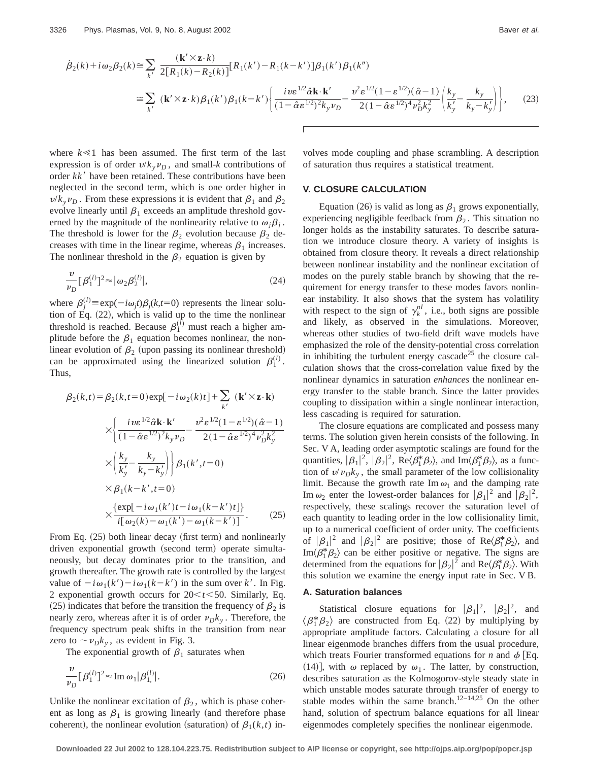$$
\dot{\beta}_{2}(k) + i\omega_{2}\beta_{2}(k) \approx \sum_{k'} \frac{(\mathbf{k'} \times \mathbf{z} \cdot k)}{2[R_{1}(k) - R_{2}(k)]} [R_{1}(k') - R_{1}(k - k')] \beta_{1}(k') \beta_{1}(k'')
$$
\n
$$
\approx \sum_{k'} (\mathbf{k'} \times \mathbf{z} \cdot k) \beta_{1}(k') \beta_{1}(k - k') \left\{ \frac{i v \varepsilon^{1/2} \hat{\alpha} \mathbf{k} \cdot \mathbf{k'}}{(1 - \hat{\alpha} \varepsilon^{1/2})^{2} k_{y} \nu_{D}} - \frac{v^{2} \varepsilon^{1/2} (1 - \varepsilon^{1/2}) (\hat{\alpha} - 1)}{2 (1 - \hat{\alpha} \varepsilon^{1/2})^{4} \nu_{D}^{2} k_{y}^{2}} \left\{ \frac{k_{y}}{k_{y}'} - \frac{k_{y}}{k_{y} - k_{y}'} \right\} \right\}, \qquad (23)
$$

where  $k \leq 1$  has been assumed. The first term of the last expression is of order  $v/k_yv_D$ , and small-*k* contributions of order  $kk'$  have been retained. These contributions have been neglected in the second term, which is one order higher in  $v/k_yv_D$ . From these expressions it is evident that  $\beta_1$  and  $\beta_2$ evolve linearly until  $\beta_1$  exceeds an amplitude threshold governed by the magnitude of the nonlinearity relative to  $\omega_i \beta_i$ . The threshold is lower for the  $\beta_2$  evolution because  $\beta_2$  decreases with time in the linear regime, whereas  $\beta_1$  increases. The nonlinear threshold in the  $\beta_2$  equation is given by

$$
\frac{\nu}{\nu_D} [\beta_1^{(l)}]^2 \approx |\omega_2 \beta_2^{(l)}|,\tag{24}
$$

where  $\beta_j^{(l)} \equiv \exp(-i\omega_j t)\beta_j(k,t=0)$  represents the linear solution of Eq.  $(22)$ , which is valid up to the time the nonlinear threshold is reached. Because  $\beta_1^{(l)}$  must reach a higher amplitude before the  $\beta_1$  equation becomes nonlinear, the nonlinear evolution of  $\beta_2$  (upon passing its nonlinear threshold) can be approximated using the linearized solution  $\beta_1^{(l)}$ . Thus,

$$
\beta_2(k,t) = \beta_2(k,t=0) \exp[-i\omega_2(k)t] + \sum_{k'} (\mathbf{k'} \times \mathbf{z} \cdot \mathbf{k})
$$
  

$$
\times \left\{ \frac{i v \varepsilon^{1/2} \hat{\alpha} \mathbf{k} \cdot \mathbf{k'}}{(1 - \hat{\alpha} \varepsilon^{1/2})^2 k_y v_D} - \frac{v^2 \varepsilon^{1/2} (1 - \varepsilon^{1/2}) (\hat{\alpha} - 1)}{2 (1 - \hat{\alpha} \varepsilon^{1/2})^4 v_D^2 k_y^2} \right\}
$$
  

$$
\times \left( \frac{k_y}{k_y'} - \frac{k_y}{k_y - k_y'} \right) \left\{ \beta_1(k', t=0) \right\}
$$
  

$$
\times \beta_1(k - k', t=0)
$$
  

$$
\times \frac{\left\{ \exp[-i\omega_1(k')t - i\omega_1(k - k')t] \right\}}{i[\omega_2(k) - \omega_1(k') - \omega_1(k - k')]}. \tag{25}
$$

From Eq.  $(25)$  both linear decay (first term) and nonlinearly driven exponential growth (second term) operate simultaneously, but decay dominates prior to the transition, and growth thereafter. The growth rate is controlled by the largest value of  $-i\omega_1(k')-i\omega_1(k-k')$  in the sum over *k'*. In Fig. 2 exponential growth occurs for  $20 \lt t \lt 50$ . Similarly, Eq. (25) indicates that before the transition the frequency of  $\beta_2$  is nearly zero, whereas after it is of order  $\nu_D k_y$ . Therefore, the frequency spectrum peak shifts in the transition from near zero to  $\sim v_{D}k_{v}$ , as evident in Fig. 3.

The exponential growth of  $\beta_1$  saturates when

$$
\frac{\nu}{\nu_D} [\beta_1^{(l)}]^2 \approx \text{Im } \omega_1 |\beta_{1,}^{(l)}|.
$$
 (26)

Unlike the nonlinear excitation of  $\beta_2$ , which is phase coherent as long as  $\beta_1$  is growing linearly (and therefore phase coherent), the nonlinear evolution (saturation) of  $\beta_1(k,t)$  involves mode coupling and phase scrambling. A description of saturation thus requires a statistical treatment.

#### **V. CLOSURE CALCULATION**

Equation (26) is valid as long as  $\beta_1$  grows exponentially, experiencing negligible feedback from  $\beta_2$ . This situation no longer holds as the instability saturates. To describe saturation we introduce closure theory. A variety of insights is obtained from closure theory. It reveals a direct relationship between nonlinear instability and the nonlinear excitation of modes on the purely stable branch by showing that the requirement for energy transfer to these modes favors nonlinear instability. It also shows that the system has volatility with respect to the sign of  $\gamma_k^{nl}$ , i.e., both signs are possible and likely, as observed in the simulations. Moreover, whereas other studies of two-field drift wave models have emphasized the role of the density-potential cross correlation in inhibiting the turbulent energy cascade<sup>25</sup> the closure calculation shows that the cross-correlation value fixed by the nonlinear dynamics in saturation *enhances* the nonlinear energy transfer to the stable branch. Since the latter provides coupling to dissipation within a single nonlinear interaction, less cascading is required for saturation.

The closure equations are complicated and possess many terms. The solution given herein consists of the following. In Sec. V A, leading order asymptotic scalings are found for the quantities,  $|\beta_1|^2$ ,  $|\beta_2|^2$ , Re $\langle \beta_1^* \beta_2 \rangle$ , and Im $\langle \beta_1^* \beta_2 \rangle$ , as a function of  $v/v_{D}k_{y}$ , the small parameter of the low collisionality limit. Because the growth rate Im  $\omega_1$  and the damping rate Im  $\omega_2$  enter the lowest-order balances for  $|\beta_1|^2$  and  $|\beta_2|^2$ , respectively, these scalings recover the saturation level of each quantity to leading order in the low collisionality limit, up to a numerical coefficient of order unity. The coefficients of  $|\beta_1|^2$  and  $|\beta_2|^2$  are positive; those of Re $\langle \beta_1^* \beta_2 \rangle$ , and  $\text{Im}\langle\beta_1^*\beta_2\rangle$  can be either positive or negative. The signs are determined from the equations for  $|\beta_2|^2$  and  $\text{Re}\langle\beta_1^*\beta_2\rangle$ . With this solution we examine the energy input rate in Sec. V B.

#### **A. Saturation balances**

Statistical closure equations for  $|\beta_1|^2$ ,  $|\beta_2|^2$ , and  $\langle \beta_1^* \beta_2 \rangle$  are constructed from Eq. (22) by multiplying by appropriate amplitude factors. Calculating a closure for all linear eigenmode branches differs from the usual procedure, which treats Fourier transformed equations for *n* and  $\phi$  [Eq. (14)], with  $\omega$  replaced by  $\omega_1$ . The latter, by construction, describes saturation as the Kolmogorov-style steady state in which unstable modes saturate through transfer of energy to stable modes within the same branch.<sup>12–14,25</sup> On the other hand, solution of spectrum balance equations for all linear eigenmodes completely specifies the nonlinear eigenmode.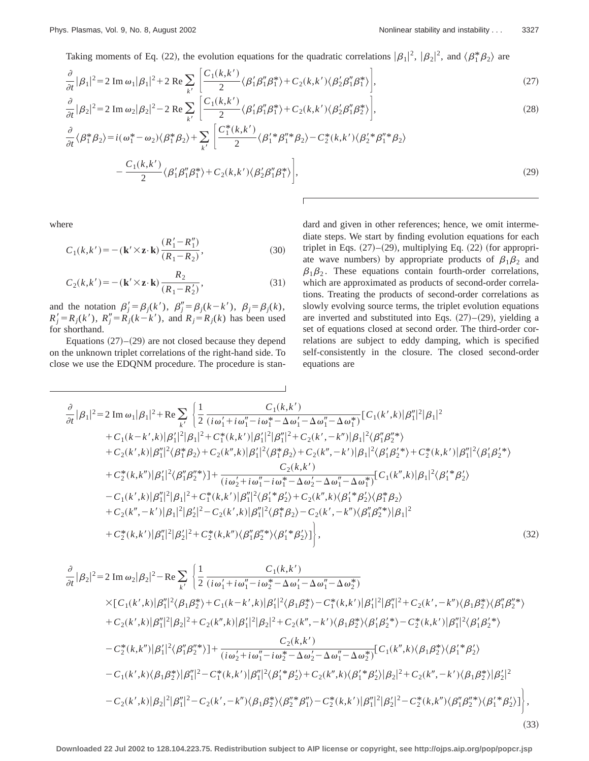Taking moments of Eq. (22), the evolution equations for the quadratic correlations  $|\beta_1|^2$ ,  $|\beta_2|^2$ , and  $\langle \beta_1^* \beta_2 \rangle$  are

$$
\frac{\partial}{\partial t} |\beta_1|^2 = 2 \operatorname{Im} \omega_1 |\beta_1|^2 + 2 \operatorname{Re} \sum_{k'} \left[ \frac{C_1(k, k')}{2} \langle \beta_1' \beta_1'' \beta_1^* \rangle + C_2(k, k') \langle \beta_2' \beta_1'' \beta_1^* \rangle \right],\tag{27}
$$

$$
\frac{\partial}{\partial t} |\beta_2|^2 = 2 \operatorname{Im} \omega_2 |\beta_2|^2 - 2 \operatorname{Re} \sum_{k'} \left[ \frac{C_1(k, k')}{2} \langle \beta_1' \beta_1'' \beta_1^* \rangle + C_2(k, k') \langle \beta_2' \beta_1'' \beta_2^* \rangle \right],\tag{28}
$$

$$
\frac{\partial}{\partial t} \langle \beta_1^* \beta_2 \rangle = i(\omega_1^* - \omega_2) \langle \beta_1^* \beta_2 \rangle + \sum_{k'} \left[ \frac{C_1^*(k, k')}{2} \langle \beta_1'^* \beta_1''^* \beta_2 \rangle - C_2^*(k, k') \langle \beta_2'^* \beta_1''^* \beta_2 \rangle \right] \n- \frac{C_1(k, k')}{2} \langle \beta_1' \beta_1'' \beta_1^* \rangle + C_2(k, k') \langle \beta_2' \beta_1'' \beta_1^* \rangle \Bigg],
$$
\n(29)

where

$$
C_1(k, k') = -(\mathbf{k}' \times \mathbf{z} \cdot \mathbf{k}) \frac{(R'_1 - R''_1)}{(R_1 - R_2)},
$$
\n(30)

$$
C_2(k, k') = -(\mathbf{k'} \times \mathbf{z} \cdot \mathbf{k}) \frac{R_2}{(R_1 - R_2')},
$$
\n(31)

and the notation  $\beta'_j = \beta_j(k')$ ,  $\beta''_j = \beta_j(k-k')$ ,  $\beta_j = \beta_j(k)$ ,  $R'_j = R_j(k'), R''_j = R_j(k-k')$ , and  $R_j = R_j(k)$  has been used for shorthand.

Equations  $(27)–(29)$  are not closed because they depend on the unknown triplet correlations of the right-hand side. To close we use the EDQNM procedure. The procedure is standard and given in other references; hence, we omit intermediate steps. We start by finding evolution equations for each triplet in Eqs.  $(27)–(29)$ , multiplying Eq.  $(22)$  (for appropriate wave numbers) by appropriate products of  $\beta_1\beta_2$  and  $\beta_1\beta_2$ . These equations contain fourth-order correlations, which are approximated as products of second-order correlations. Treating the products of second-order correlations as slowly evolving source terms, the triplet evolution equations are inverted and substituted into Eqs.  $(27)–(29)$ , yielding a set of equations closed at second order. The third-order correlations are subject to eddy damping, which is specified self-consistently in the closure. The closed second-order equations are

$$
\frac{\partial}{\partial t} |\beta_{1}|^{2} = 2 \operatorname{Im} \omega_{1} |\beta_{1}|^{2} + \operatorname{Re} \sum_{k'} \left\{ \frac{1}{2} \frac{C_{1}(k,k')}{(i\omega_{1}^{\prime} + i\omega_{1}^{\prime\prime} - i\omega_{1}^{*} - \Delta\omega_{1}^{\prime} - \Delta\omega_{1}^{*})} [C_{1}(k',k)|\beta_{1}^{\prime\prime}|^{2}|\beta_{1}|^{2} + C_{1}(k-k',k)|\beta_{1}^{\prime}|^{2}|\beta_{1}|^{2} + C_{1}^{*}(k,k')|\beta_{1}^{\prime}|^{2}|\beta_{1}^{\prime}|^{2} + C_{2}(k',-k'')|\beta_{1}|^{2}\langle\beta_{1}^{\prime\prime}\beta_{2}^{\prime\prime}\rangle \right\} \n+ C_{2}(k',k)|\beta_{1}^{\prime\prime}|^{2}\langle\beta_{1}^{*}\beta_{2}\rangle + C_{2}(k'',k)|\beta_{1}^{\prime}|^{2}\langle\beta_{1}^{*}\beta_{2}\rangle + C_{2}(k'',-k')|\beta_{1}|^{2}\langle\beta_{1}^{\prime}\beta_{2}^{\prime\prime}\rangle + C_{2}^{*}(k,k')|\beta_{1}^{\prime}|^{2}\langle\beta_{1}^{\prime}\beta_{2}^{\prime\prime}\rangle \right\} \n+ C_{2}^{*}(k,k'')|\beta_{1}^{\prime}|^{2}\langle\beta_{1}^{\prime\prime}\beta_{2}^{\prime\prime}\rangle] + \frac{C_{2}(k,k')}{(i\omega_{2}^{\prime} + i\omega_{1}^{\prime\prime} - i\omega_{1}^{*} - \Delta\omega_{2}^{\prime} - \Delta\omega_{1}^{\prime\prime} - \Delta\omega_{1}^{*})} [C_{1}(k'',k)|\beta_{1}|^{2}\langle\beta_{1}^{\prime\prime}\beta_{2}^{\prime}\rangle - C_{1}(k',k)|\beta_{1}^{\prime\prime}|^{2}|\beta_{1}|^{2} + C_{1}^{*}(k,k')|\beta_{1}^{\prime\prime}|^{2}\langle\beta_{1}^{\prime\prime}\beta_{2}^{\prime}\rangle + C_{2}(k'',k)\langle\beta_{1}^{\prime\prime}\beta_{2}^{\prime}\rangle\langle\beta_{1}^{*}\beta_{2}\rangle \right] \n+ C_{2}(k'',-k')|\beta_{1}|^{2}|\beta_{
$$

 $\overline{1}$ 

$$
\frac{\partial}{\partial t} |\beta_{2}|^{2} = 2 \operatorname{Im} \omega_{2} |\beta_{2}|^{2} - \operatorname{Re} \sum_{k'} \left\{ \frac{1}{2} \frac{C_{1}(k,k')}{(i\omega_{1}^{\prime} + i\omega_{1}^{\prime\prime} - i\omega_{2}^{*} - \Delta\omega_{1}^{\prime} - \Delta\omega_{1}^{*} - \Delta\omega_{2}^{*})} \right.\n\times [C_{1}(k',k)|\beta_{1}^{\prime\prime}|^{2} \langle \beta_{1}\beta_{2}^{*} \rangle + C_{1}(k-k',k)|\beta_{1}^{\prime}|^{2} \langle \beta_{1}\beta_{2}^{*} \rangle - C_{1}^{*}(k,k')|\beta_{1}^{\prime}|^{2} |\beta_{1}^{\prime}|^{2} + C_{2}(k',-k'') \langle \beta_{1}\beta_{2}^{*} \rangle \langle \beta_{1}^{\prime}\beta_{2}^{\prime\prime}^{*} \rangle \right.\n\t+ C_{2}(k',k)|\beta_{1}^{\prime\prime}|^{2} |\beta_{2}|^{2} + C_{2}(k'',k)|\beta_{1}^{\prime}|^{2} |\beta_{2}|^{2} + C_{2}(k'',-k') \langle \beta_{1}\beta_{2}^{*} \rangle \langle \beta_{1}^{\prime}\beta_{2}^{\prime\prime} \rangle - C_{2}^{*}(k,k')|\beta_{1}^{\prime\prime}|^{2} \langle \beta_{1}^{\prime}\beta_{2}^{\prime\prime} \rangle \right.\n\t- C_{2}^{*}(k,k'')|\beta_{1}^{\prime}|^{2} \langle \beta_{1}^{\prime\prime}\beta_{2}^{\prime\prime} \rangle + \frac{C_{2}(k,k')}{(i\omega_{2}^{\prime} + i\omega_{1}^{\prime\prime} - i\omega_{2}^{*} - \Delta\omega_{2}^{\prime} - \Delta\omega_{1}^{\prime\prime} - \Delta\omega_{2}^{*})} [C_{1}(k'',k)\langle \beta_{1}\beta_{2}^{*} \rangle \langle \beta_{1}^{\prime\prime} \beta_{2}^{\prime} \rangle \right.\n\t- C_{1}(k',k)\langle \beta_{1}\beta_{2}^{*} \rangle |\beta_{1}^{\prime}|^{2} - C_{1}^{*}(k,k')|\beta_{1}^{\prime\prime}|^{2} - C_{1}^{*}(k,k')|\beta_{1}^{\prime\prime}|^{2} \langle \beta_{1}^
$$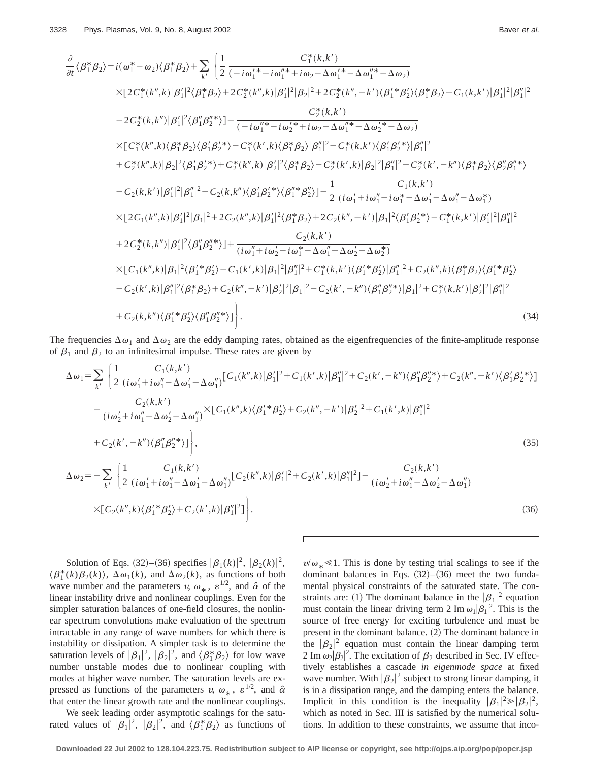$$
\frac{\partial}{\partial t}\langle\beta_{1}^{*}\beta_{2}\rangle=i(\omega_{1}^{*}-\omega_{2})\langle\beta_{1}^{*}\beta_{2}\rangle+\sum_{k'}\left\{\frac{1}{2}\frac{C_{1}^{*}((k,k')^{2}}{(-i\omega_{1}^{\prime*}-i\omega_{1}^{\prime*}+i\omega_{2}-\Delta\omega_{1}^{\prime*}-\Delta\omega_{1}^{\prime*}-\Delta\omega_{2})}\right.\times[2C_{1}^{*}(k'',k)|\beta_{1}'|^{2}\langle\beta_{1}^{*}\beta_{2}\rangle+2C_{2}^{*}(k'',k)|\beta_{1}'|^{2}|\beta_{2}|^{2}+2C_{2}^{*}(k'',-k')\langle\beta_{1}^{\prime*}\beta_{2}'\rangle\langle\beta_{1}^{*}\beta_{2}\rangle-C_{1}(k,k')|\beta_{1}'|^{2}|\beta_{1}'|^{2}\right.\left.-2C_{2}^{*}(k,k'')|\beta_{1}'|^{2}\langle\beta_{1}^{*}\beta_{2}^{*}\rangle\right]-\frac{C_{2}^{*}(k,k')^{2}}{(-i\omega_{1}^{\prime*}-i\omega_{2}^{\prime*}+i\omega_{2}-\Delta\omega_{1}^{\prime*}-\Delta\omega_{2}^{\prime*})}\right.\times[C_{1}^{*}(k'',k)\langle\beta_{1}^{*}\beta_{2}\rangle\langle\beta_{1}'\beta_{2}^{*}\rangle-C_{1}^{*}(k',k)\langle\beta_{1}^{*}\beta_{2}\rangle|\beta_{1}'|^{2}-C_{1}^{*}(k,k')\langle\beta_{1}'\beta_{2}^{*}\rangle|\beta_{1}'|^{2}\right.\left.+C_{2}^{*}(k'',k)|\beta_{2}|^{2}\langle\beta_{1}'\beta_{2}^{*}\rangle+C_{2}^{*}(k'',k)|\beta_{2}'|^{2}\langle\beta_{1}^{*}\beta_{2}\rangle-C_{2}^{*}(k',k)|\beta_{2}'|^{2}|\beta_{1}'|^{2}-C_{2}^{*}(k',-k'')\langle\beta_{1}^{*}\beta_{2}\rangle\langle\beta_{2}'\beta_{1}^{*}\rangle\right.\left.-C_{2}(k,k')|\beta_{1}'|^{2}|\beta_{1}'|^{2}-C_{2}(k,k'')\langle\beta_{1}'\beta_{2}^{*}\rangle\langle\beta_{1}^{*}\beta_{2}\rangle\right)-\frac{1}{2}\frac{C_{1}(k,k')
$$

The frequencies  $\Delta \omega_1$  and  $\Delta \omega_2$  are the eddy damping rates, obtained as the eigenfrequencies of the finite-amplitude response of  $\beta_1$  and  $\beta_2$  to an infinitesimal impulse. These rates are given by

$$
\Delta \omega_{1} = \sum_{k'} \left\{ \frac{1}{2} \frac{C_{1}(k,k')}{(i\omega_{1}'+i\omega_{1}''-\Delta\omega_{1}'-\Delta\omega_{1}'')} [C_{1}(k'',k)|\beta_{1}'|^{2}+C_{1}(k',k)|\beta_{1}''|^{2}+C_{2}(k',-k'')\langle\beta_{1}''\beta_{2}''^{*}\rangle + C_{2}(k'',-k')\langle\beta_{1}'\beta_{2}''^{*}\rangle \right] \\ - \frac{C_{2}(k,k')}{(i\omega_{2}'+i\omega_{1}''-\Delta\omega_{2}'-\Delta\omega_{1}'')} \times [C_{1}(k'',k)\langle\beta_{1}'^{*}\beta_{2}'\rangle + C_{2}(k'',-k')|\beta_{2}'|^{2}+C_{1}(k',k)|\beta_{1}''|^{2} \\ + C_{2}(k',-k'')\langle\beta_{1}''\beta_{2}''^{*}\rangle] \right\},
$$
\n(35)  
\n
$$
\Delta \omega_{2} = -\sum_{k'} \left\{ \frac{1}{2} \frac{C_{1}(k,k')}{(i\omega_{1}'+i\omega_{1}''-\Delta\omega_{1}'-\Delta\omega_{1}'')} [C_{2}(k'',k)|\beta_{1}'|^{2}+C_{2}(k',k)|\beta_{1}''|^{2}] - \frac{C_{2}(k,k')}{(i\omega_{2}'+i\omega_{1}''-\Delta\omega_{2}'-\Delta\omega_{1}'')} \right\}
$$

$$
\times [C_2(k'',k)\langle \beta_1'^* \beta_2' \rangle + C_2(k',k)|\beta_1''|^2]
$$
\n(36)

Solution of Eqs. (32)–(36) specifies  $|\beta_1(k)|^2$ ,  $|\beta_2(k)|^2$ ,  $\langle \beta_1^*(k)\beta_2(k)\rangle$ ,  $\Delta\omega_1(k)$ , and  $\Delta\omega_2(k)$ , as functions of both wave number and the parameters  $v, \omega_*$ ,  $\varepsilon^{1/2}$ , and  $\hat{\alpha}$  of the linear instability drive and nonlinear couplings. Even for the simpler saturation balances of one-field closures, the nonlinear spectrum convolutions make evaluation of the spectrum intractable in any range of wave numbers for which there is instability or dissipation. A simpler task is to determine the saturation levels of  $|\beta_1|^2$ ,  $|\beta_2|^2$ , and  $\langle \beta_1^* \beta_2 \rangle$  for low wave number unstable modes due to nonlinear coupling with modes at higher wave number. The saturation levels are expressed as functions of the parameters  $v, \omega_*$ ,  $\varepsilon^{1/2}$ , and  $\hat{\alpha}$ that enter the linear growth rate and the nonlinear couplings.

We seek leading order asymptotic scalings for the saturated values of  $|\beta_1|^2$ ,  $|\beta_2|^2$ , and  $\langle \beta_1^* \beta_2 \rangle$  as functions of  $v/\omega_* \ll 1$ . This is done by testing trial scalings to see if the dominant balances in Eqs.  $(32)$ – $(36)$  meet the two fundamental physical constraints of the saturated state. The constraints are: (1) The dominant balance in the  $|\beta_1|^2$  equation must contain the linear driving term 2 Im  $\omega_1|\beta_1|^2$ . This is the source of free energy for exciting turbulence and must be present in the dominant balance.  $(2)$  The dominant balance in the  $|\beta_2|^2$  equation must contain the linear damping term 2 Im  $\omega_2|\beta_2|^2$ . The excitation of  $\beta_2$  described in Sec. IV effectively establishes a cascade *in eigenmode space* at fixed wave number. With  $|\beta_2|^2$  subject to strong linear damping, it is in a dissipation range, and the damping enters the balance. Implicit in this condition is the inequality  $|\beta_1|^2 \gg |\beta_2|^2$ , which as noted in Sec. III is satisfied by the numerical solutions. In addition to these constraints, we assume that inco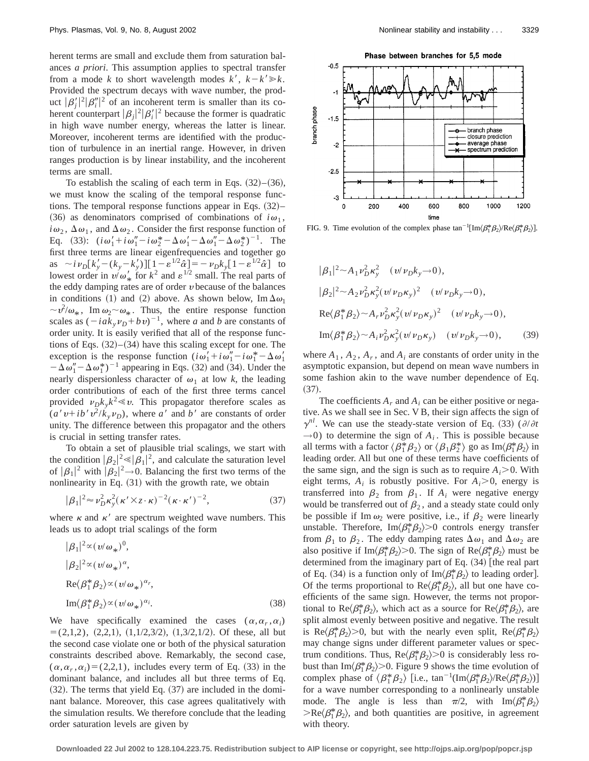herent terms are small and exclude them from saturation balances *a priori*. This assumption applies to spectral transfer from a mode *k* to short wavelength modes  $k^{\prime}$ ,  $k - k^{\prime} \ge k$ . Provided the spectrum decays with wave number, the product  $|\beta_j'|^2 |\beta_i''|^2$  of an incoherent term is smaller than its coherent counterpart  $|\beta_j|^2 |\beta_i'|^2$  because the former is quadratic in high wave number energy, whereas the latter is linear. Moreover, incoherent terms are identified with the production of turbulence in an inertial range. However, in driven ranges production is by linear instability, and the incoherent terms are small.

To establish the scaling of each term in Eqs.  $(32)$ – $(36)$ , we must know the scaling of the temporal response functions. The temporal response functions appear in Eqs.  $(32)$ –  $(36)$  as denominators comprised of combinations of  $i\omega_1$ ,  $i\omega_2$ ,  $\Delta\omega_1$ , and  $\Delta\omega_2$ . Consider the first response function of Eq. (33):  $(i\omega'_1 + i\omega''_1 - i\omega^*_{2} - \Delta\omega'_1 - \Delta\omega''_1 - \Delta\omega^*_{2})^{-1}$ . The first three terms are linear eigenfrequencies and together go as  $\sim i \nu_D[k'_y - (k_y - k'_y)] [1 - \varepsilon^{1/2} \hat{\alpha}] = - \nu_D k_y [1 - \varepsilon^{1/2} \hat{\alpha}]$  to lowest order in  $v/\omega'$  for  $k^2$  and  $\varepsilon^{1/2}$  small. The real parts of the eddy damping rates are of order  $\nu$  because of the balances in conditions (1) and (2) above. As shown below, Im  $\Delta \omega_1$  $\sim v^2/\omega_*$ , Im  $\omega_2 \sim \omega_*$ . Thus, the entire response function scales as  $(-iak_v\nu_D + bv)^{-1}$ , where *a* and *b* are constants of order unity. It is easily verified that all of the response functions of Eqs.  $(32)$ – $(34)$  have this scaling except for one. The exception is the response function  $(i\omega'_1 + i\omega''_1 - i\omega^* - \Delta\omega'_1)$  $-\Delta \omega_1'' - \Delta \omega_1^*$ )<sup>-1</sup> appearing in Eqs. (32) and (34). Under the nearly dispersionless character of  $\omega_1$  at low *k*, the leading order contributions of each of the first three terms cancel provided  $\nu_D k_v k^2 \ll \nu$ . This propagator therefore scales as  $(a'v+ib'v^2/k_vv_D)$ , where *a'* and *b'* are constants of order unity. The difference between this propagator and the others is crucial in setting transfer rates.

To obtain a set of plausible trial scalings, we start with the condition  $|\beta_2|^2 \ll |\beta_1|^2$ , and calculate the saturation level of  $|\beta_1|^2$  with  $|\beta_2|^2 \rightarrow 0$ . Balancing the first two terms of the nonlinearity in Eq.  $(31)$  with the growth rate, we obtain

$$
|\beta_1|^2 \approx \nu_D^2 \kappa_y^2 (\kappa' \times z \cdot \kappa)^{-2} (\kappa \cdot \kappa')^{-2},
$$
 (37)

where  $\kappa$  and  $\kappa'$  are spectrum weighted wave numbers. This leads us to adopt trial scalings of the form

$$
|\beta_1|^2 \propto (v/\omega_*)^0,
$$
  
\n
$$
|\beta_2|^2 \propto (v/\omega_*)^{\alpha},
$$
  
\n
$$
Re\langle \beta_1^* \beta_2 \rangle \propto (v/\omega_*)^{\alpha_r},
$$
  
\n
$$
Im\langle \beta_1^* \beta_2 \rangle \propto (v/\omega_*)^{\alpha_i}.
$$
\n(38)

We have specifically examined the cases  $(\alpha, \alpha_r, \alpha_i)$  $(2,1,2), (2,2,1), (1,1/2,3/2), (1,3/2,1/2).$  Of these, all but the second case violate one or both of the physical saturation constraints described above. Remarkably, the second case,  $(\alpha, \alpha_r, \alpha_i) = (2,2,1)$ , includes every term of Eq. (33) in the dominant balance, and includes all but three terms of Eq.  $(32)$ . The terms that yield Eq.  $(37)$  are included in the dominant balance. Moreover, this case agrees qualitatively with the simulation results. We therefore conclude that the leading order saturation levels are given by

Phase between branches for 5,5 mode



FIG. 9. Time evolution of the complex phase  $\tan^{-1}[\text{Im}\langle\beta_1^*\beta_2\rangle/\text{Re}\langle\beta_1^*\beta_2\rangle]$ .

$$
|\beta_1|^2 \sim A_1 \nu_D^2 \kappa_y^2 \quad (v/\nu_D k_y \to 0),
$$
  
\n
$$
|\beta_2|^2 \sim A_2 \nu_D^2 \kappa_y^2 (v/\nu_D \kappa_y)^2 \quad (v/\nu_D k_y \to 0),
$$
  
\n
$$
Re(\beta_1^* \beta_2) \sim A_r \nu_D^2 \kappa_y^2 (v/\nu_D \kappa_y)^2 \quad (v/\nu_D k_y \to 0),
$$
  
\n
$$
Im(\beta_1^* \beta_2) \sim A_i \nu_D^2 \kappa_y^2 (v/\nu_D \kappa_y) \quad (v/\nu_D k_y \to 0),
$$
 (39)

where  $A_1$ ,  $A_2$ ,  $A_r$ , and  $A_i$  are constants of order unity in the asymptotic expansion, but depend on mean wave numbers in some fashion akin to the wave number dependence of Eq.  $(37).$ 

The coefficients  $A_r$  and  $A_i$  can be either positive or negative. As we shall see in Sec. V B, their sign affects the sign of  $\gamma^{nl}$ . We can use the steady-state version of Eq. (33) ( $\partial/\partial t$  $\rightarrow$ 0) to determine the sign of *A<sub>i</sub>*. This is possible because all terms with a factor  $\langle \beta_1^* \beta_2 \rangle$  or  $\langle \beta_1 \beta_2^* \rangle$  go as Im $\langle \beta_1^* \beta_2 \rangle$  in leading order. All but one of these terms have coefficients of the same sign, and the sign is such as to require  $A_i > 0$ . With eight terms,  $A_i$  is robustly positive. For  $A_i > 0$ , energy is transferred into  $\beta_2$  from  $\beta_1$ . If  $A_i$  were negative energy would be transferred out of  $\beta_2$ , and a steady state could only be possible if Im  $\omega_2$  were positive, i.e., if  $\beta_2$  were linearly unstable. Therefore,  $\text{Im}\langle\beta_1^*\beta_2\rangle$  controls energy transfer from  $\beta_1$  to  $\beta_2$ . The eddy damping rates  $\Delta \omega_1$  and  $\Delta \omega_2$  are also positive if Im $\langle \beta_1^* \beta_2 \rangle$  > 0. The sign of Re $\langle \beta_1^* \beta_2 \rangle$  must be determined from the imaginary part of Eq.  $(34)$  [the real part of Eq. (34) is a function only of  $\text{Im}\langle\beta_1^*\beta_2\rangle$  to leading order]. Of the terms proportional to  $\text{Re}\langle\beta_1^*\beta_2\rangle$ , all but one have coefficients of the same sign. However, the terms not proportional to Re $\langle \beta_1^* \beta_2 \rangle$ , which act as a source for Re $\langle \beta_1^* \beta_2 \rangle$ , are split almost evenly between positive and negative. The result is Re $\langle \beta_1^* \beta_2 \rangle$  >0, but with the nearly even split, Re $\langle \beta_1^* \beta_2 \rangle$ may change signs under different parameter values or spectrum conditions. Thus,  $\text{Re}\langle\beta_1^*\beta_2\rangle>0$  is considerably less robust than  $\text{Im}\langle\beta_1^*\beta_2\rangle$  > 0. Figure 9 shows the time evolution of complex phase of  $\langle \beta_1^* \beta_2 \rangle$  [i.e., tan<sup>-1</sup>(Im $\langle \beta_1^* \beta_2 \rangle$ /Re $\langle \beta_1^* \beta_2 \rangle$ )] for a wave number corresponding to a nonlinearly unstable mode. The angle is less than  $\pi/2$ , with  $\text{Im}\langle\beta_1^*\beta_2\rangle$  $>\text{Re}\langle\beta_1^*\beta_2\rangle$ , and both quantities are positive, in agreement with theory.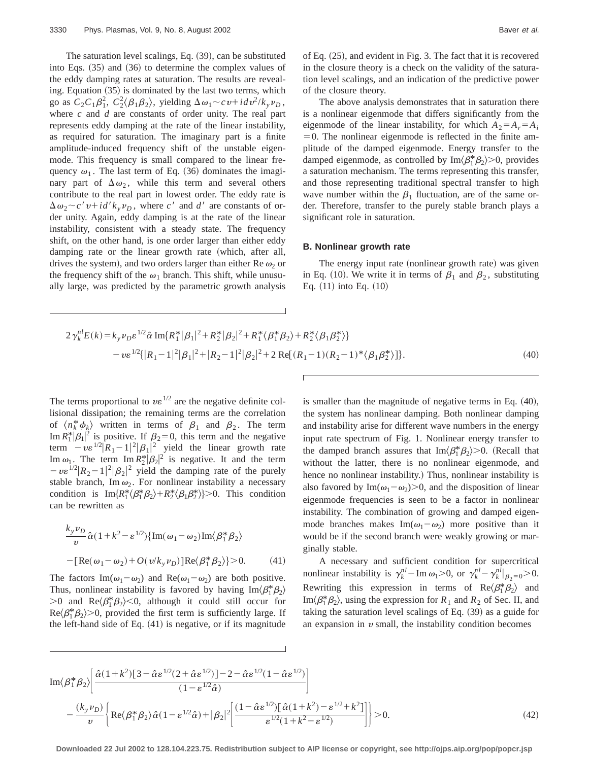The saturation level scalings, Eq.  $(39)$ , can be substituted into Eqs.  $(35)$  and  $(36)$  to determine the complex values of the eddy damping rates at saturation. The results are revealing. Equation  $(35)$  is dominated by the last two terms, which go as  $C_2C_1\beta_1^2$ ,  $C_2^2\langle\beta_1\beta_2\rangle$ , yielding  $\Delta\omega_1 \sim c\,\nu + i d\,\nu^2/k_y\nu_D$ , where *c* and *d* are constants of order unity. The real part represents eddy damping at the rate of the linear instability, as required for saturation. The imaginary part is a finite amplitude-induced frequency shift of the unstable eigenmode. This frequency is small compared to the linear frequency  $\omega_1$ . The last term of Eq. (36) dominates the imaginary part of  $\Delta \omega_2$ , while this term and several others contribute to the real part in lowest order. The eddy rate is  $\Delta \omega_2 \sim c'v + id'k_v \nu_D$ , where *c*' and *d*' are constants of order unity. Again, eddy damping is at the rate of the linear instability, consistent with a steady state. The frequency shift, on the other hand, is one order larger than either eddy damping rate or the linear growth rate (which, after all, drives the system), and two orders larger than either Re  $\omega_2$  or the frequency shift of the  $\omega_1$  branch. This shift, while unusually large, was predicted by the parametric growth analysis of Eq.  $(25)$ , and evident in Fig. 3. The fact that it is recovered in the closure theory is a check on the validity of the saturation level scalings, and an indication of the predictive power of the closure theory.

The above analysis demonstrates that in saturation there is a nonlinear eigenmode that differs significantly from the eigenmode of the linear instability, for which  $A_2 = A_r = A_i$  $=0$ . The nonlinear eigenmode is reflected in the finite amplitude of the damped eigenmode. Energy transfer to the damped eigenmode, as controlled by  $\text{Im}\langle\beta_1^*\beta_2\rangle$  >0, provides a saturation mechanism. The terms representing this transfer, and those representing traditional spectral transfer to high wave number within the  $\beta_1$  fluctuation, are of the same order. Therefore, transfer to the purely stable branch plays a significant role in saturation.

#### **B. Nonlinear growth rate**

The energy input rate (nonlinear growth rate) was given in Eq. (10). We write it in terms of  $\beta_1$  and  $\beta_2$ , substituting Eq.  $(11)$  into Eq.  $(10)$ 

$$
2\gamma_k^{n}E(k) = k_y \nu_D \varepsilon^{1/2} \hat{\alpha} \operatorname{Im} \{ R_1^* |\beta_1|^2 + R_2^* |\beta_2|^2 + R_1^* \langle \beta_1^* \beta_2 \rangle + R_2^* \langle \beta_1 \beta_2^* \rangle \} - \nu \varepsilon^{1/2} \{ |R_1 - 1|^2 |\beta_1|^2 + |R_2 - 1|^2 |\beta_2|^2 + 2 \operatorname{Re}[(R_1 - 1)(R_2 - 1)^* \langle \beta_1 \beta_2^* \rangle] \}.
$$
\n(40)

The terms proportional to  $ve^{1/2}$  are the negative definite collisional dissipation; the remaining terms are the correlation of  $\langle n_k^* \phi_k \rangle$  written in terms of  $\beta_1$  and  $\beta_2$ . The term Im  $R_1^*|\beta_1|^2$  is positive. If  $\beta_2=0$ , this term and the negative term  $-v\epsilon^{1/2}|R_1-1|^2|\beta_1|^2$  yield the linear growth rate Im  $\omega_1$ . The term Im  $R_2^*|\beta_2|^2$  is negative. It and the term  $- v \varepsilon^{1/2} |R_2 - 1|^2 |\beta_2|^2$  yield the damping rate of the purely stable branch, Im  $\omega_2$ . For nonlinear instability a necessary condition is  $\text{Im}\lbrace R_1^* \langle \beta_1^* \beta_2 \rangle + R_2^* \langle \beta_1 \beta_2^* \rangle \rbrace > 0$ . This condition can be rewritten as

$$
\frac{k_y \nu_D}{\nu} \hat{\alpha} (1 + k^2 - \varepsilon^{1/2}) \{ \text{Im}(\omega_1 - \omega_2) \text{Im}\langle \beta_1^* \beta_2 \rangle
$$
  
- [Re( $\omega_1 - \omega_2$ ) + O( $v/k_y \nu_D$ )]Re $\langle \beta_1^* \beta_2 \rangle$ ] > 0. (41)

The factors Im( $\omega_1 - \omega_2$ ) and Re( $\omega_1 - \omega_2$ ) are both positive. Thus, nonlinear instability is favored by having  $\text{Im}\langle\beta_1^*\beta_2\rangle$  $>0$  and Re $\langle \beta_1^* \beta_2 \rangle \langle 0$ , although it could still occur for  $\text{Re}\langle\beta_1^*\beta_2\rangle$  > 0, provided the first term is sufficiently large. If the left-hand side of Eq.  $(41)$  is negative, or if its magnitude is smaller than the magnitude of negative terms in Eq.  $(40)$ , the system has nonlinear damping. Both nonlinear damping and instability arise for different wave numbers in the energy input rate spectrum of Fig. 1. Nonlinear energy transfer to the damped branch assures that  $\text{Im}\langle\beta_1^*\beta_2\rangle$  > 0. (Recall that without the latter, there is no nonlinear eigenmode, and hence no nonlinear instability.) Thus, nonlinear instability is also favored by Im( $\omega_1-\omega_2$ ) $>$ 0, and the disposition of linear eigenmode frequencies is seen to be a factor in nonlinear instability. The combination of growing and damped eigenmode branches makes Im( $\omega_1 - \omega_2$ ) more positive than it would be if the second branch were weakly growing or marginally stable.

A necessary and sufficient condition for supercritical nonlinear instability is  $\gamma_k^{nl}$  – Im  $\omega_1$  > 0, or  $\gamma_k^{nl} - \gamma_k^{nl} |_{\beta_2 = 0}$  > 0. Rewriting this expression in terms of  $\text{Re}\langle\beta_1^*\beta_2\rangle$  and Im $\langle \beta_1^* \beta_2 \rangle$ , using the expression for  $R_1$  and  $R_2$  of Sec. II, and taking the saturation level scalings of Eq.  $(39)$  as a guide for an expansion in  $\nu$  small, the instability condition becomes

$$
\frac{\text{Im}\{\beta_1^*\beta_2\}}{\text{Im}\{\beta_1^*\beta_2\}} \left\{ \frac{\hat{\alpha}(1+k^2)[3-\hat{\alpha}\epsilon^{1/2}(2+\hat{\alpha}\epsilon^{1/2})] - 2 - \hat{\alpha}\epsilon^{1/2}(1-\hat{\alpha}\epsilon^{1/2})}{(1-\epsilon^{1/2}\hat{\alpha})} \right\} - \frac{(k_y\nu_D)}{\nu} \left\{ \text{Re}\{\beta_1^*\beta_2\} \hat{\alpha}(1-\epsilon^{1/2}\hat{\alpha}) + |\beta_2|^2 \left[ \frac{(1-\hat{\alpha}\epsilon^{1/2})[\hat{\alpha}(1+k^2)-\epsilon^{1/2}+k^2]}{\epsilon^{1/2}(1+k^2-\epsilon^{1/2})} \right] \right\} > 0. \tag{42}
$$

 $\overline{1}$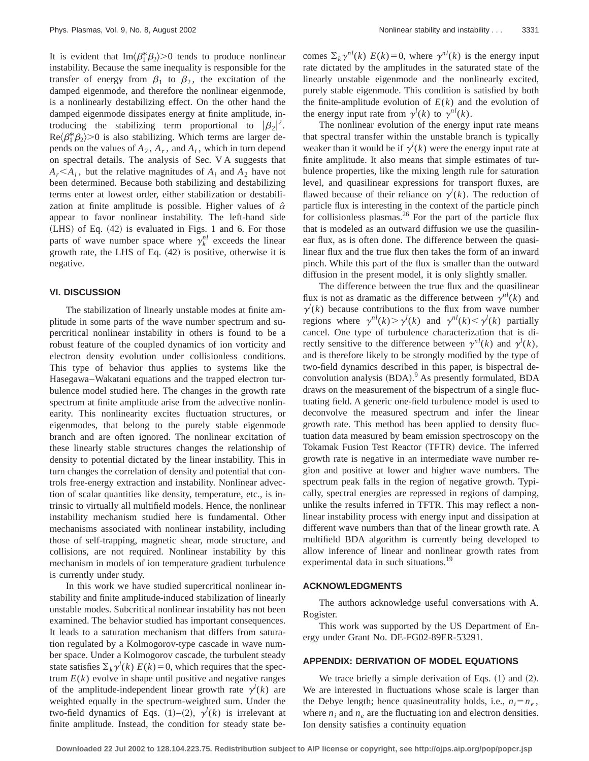It is evident that  $\text{Im}\langle\beta_1^*\beta_2\rangle>0$  tends to produce nonlinear instability. Because the same inequality is responsible for the transfer of energy from  $\beta_1$  to  $\beta_2$ , the excitation of the damped eigenmode, and therefore the nonlinear eigenmode, is a nonlinearly destabilizing effect. On the other hand the damped eigenmode dissipates energy at finite amplitude, introducing the stabilizing term proportional to  $|\beta_2|^2$ .  $\text{Re}\langle\beta_1^*\beta_2\rangle$  > 0 is also stabilizing. Which terms are larger depends on the values of  $A_2$ ,  $A_r$ , and  $A_i$ , which in turn depend on spectral details. The analysis of Sec. V A suggests that  $A_r \leq A_i$ , but the relative magnitudes of  $A_i$  and  $A_2$  have not been determined. Because both stabilizing and destabilizing terms enter at lowest order, either stabilization or destabilization at finite amplitude is possible. Higher values of  $\hat{\alpha}$ appear to favor nonlinear instability. The left-hand side  $(LHS)$  of Eq.  $(42)$  is evaluated in Figs. 1 and 6. For those parts of wave number space where  $\gamma_k^{nl}$  exceeds the linear growth rate, the LHS of Eq. (42) is positive, otherwise it is negative.

#### **VI. DISCUSSION**

The stabilization of linearly unstable modes at finite amplitude in some parts of the wave number spectrum and supercritical nonlinear instability in others is found to be a robust feature of the coupled dynamics of ion vorticity and electron density evolution under collisionless conditions. This type of behavior thus applies to systems like the Hasegawa–Wakatani equations and the trapped electron turbulence model studied here. The changes in the growth rate spectrum at finite amplitude arise from the advective nonlinearity. This nonlinearity excites fluctuation structures, or eigenmodes, that belong to the purely stable eigenmode branch and are often ignored. The nonlinear excitation of these linearly stable structures changes the relationship of density to potential dictated by the linear instability. This in turn changes the correlation of density and potential that controls free-energy extraction and instability. Nonlinear advection of scalar quantities like density, temperature, etc., is intrinsic to virtually all multifield models. Hence, the nonlinear instability mechanism studied here is fundamental. Other mechanisms associated with nonlinear instability, including those of self-trapping, magnetic shear, mode structure, and collisions, are not required. Nonlinear instability by this mechanism in models of ion temperature gradient turbulence is currently under study.

In this work we have studied supercritical nonlinear instability and finite amplitude-induced stabilization of linearly unstable modes. Subcritical nonlinear instability has not been examined. The behavior studied has important consequences. It leads to a saturation mechanism that differs from saturation regulated by a Kolmogorov-type cascade in wave number space. Under a Kolmogorov cascade, the turbulent steady state satisfies  $\sum_k \gamma^l(k) E(k) = 0$ , which requires that the spectrum  $E(k)$  evolve in shape until positive and negative ranges of the amplitude-independent linear growth rate  $\gamma^{l}(k)$  are weighted equally in the spectrum-weighted sum. Under the two-field dynamics of Eqs. (1)–(2),  $\gamma^{l}(k)$  is irrelevant at finite amplitude. Instead, the condition for steady state becomes  $\sum_k \gamma^{nl}(k) E(k) = 0$ , where  $\gamma^{nl}(k)$  is the energy input rate dictated by the amplitudes in the saturated state of the linearly unstable eigenmode and the nonlinearly excited, purely stable eigenmode. This condition is satisfied by both the finite-amplitude evolution of  $E(k)$  and the evolution of the energy input rate from  $\gamma^{l}(k)$  to  $\gamma^{nl}(k)$ .

The nonlinear evolution of the energy input rate means that spectral transfer within the unstable branch is typically weaker than it would be if  $\gamma^{l}(k)$  were the energy input rate at finite amplitude. It also means that simple estimates of turbulence properties, like the mixing length rule for saturation level, and quasilinear expressions for transport fluxes, are flawed because of their reliance on  $\gamma^{l}(k)$ . The reduction of particle flux is interesting in the context of the particle pinch for collisionless plasmas.<sup>26</sup> For the part of the particle flux that is modeled as an outward diffusion we use the quasilinear flux, as is often done. The difference between the quasilinear flux and the true flux then takes the form of an inward pinch. While this part of the flux is smaller than the outward diffusion in the present model, it is only slightly smaller.

The difference between the true flux and the quasilinear flux is not as dramatic as the difference between  $\gamma^{nl}(k)$  and  $\gamma^{l}(k)$  because contributions to the flux from wave number regions where  $\gamma^{nl}(k) > \gamma^{l}(k)$  and  $\gamma^{nl}(k) < \gamma^{l}(k)$  partially cancel. One type of turbulence characterization that is directly sensitive to the difference between  $\gamma^{nl}(k)$  and  $\gamma^{l}(k)$ , and is therefore likely to be strongly modified by the type of two-field dynamics described in this paper, is bispectral deconvolution analysis (BDA).<sup>9</sup> As presently formulated, BDA draws on the measurement of the bispectrum of a single fluctuating field. A generic one-field turbulence model is used to deconvolve the measured spectrum and infer the linear growth rate. This method has been applied to density fluctuation data measured by beam emission spectroscopy on the Tokamak Fusion Test Reactor (TFTR) device. The inferred growth rate is negative in an intermediate wave number region and positive at lower and higher wave numbers. The spectrum peak falls in the region of negative growth. Typically, spectral energies are repressed in regions of damping, unlike the results inferred in TFTR. This may reflect a nonlinear instability process with energy input and dissipation at different wave numbers than that of the linear growth rate. A multifield BDA algorithm is currently being developed to allow inference of linear and nonlinear growth rates from experimental data in such situations.<sup>19</sup>

## **ACKNOWLEDGMENTS**

The authors acknowledge useful conversations with A. Rogister.

This work was supported by the US Department of Energy under Grant No. DE-FG02-89ER-53291.

#### **APPENDIX: DERIVATION OF MODEL EQUATIONS**

We trace briefly a simple derivation of Eqs.  $(1)$  and  $(2)$ . We are interested in fluctuations whose scale is larger than the Debye length; hence quasineutrality holds, i.e.,  $n_i = n_e$ , where  $n_i$  and  $n_e$  are the fluctuating ion and electron densities. Ion density satisfies a continuity equation